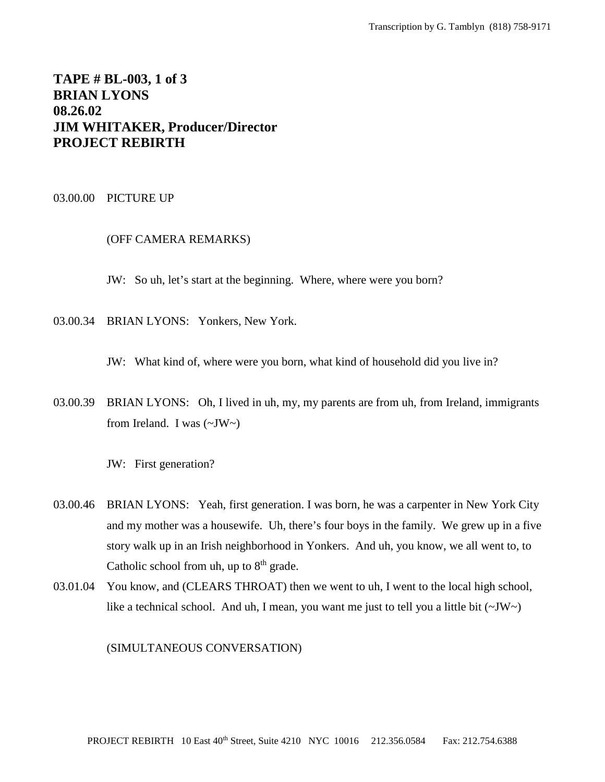# **TAPE # BL-003, 1 of 3 BRIAN LYONS 08.26.02 JIM WHITAKER, Producer/Director PROJECT REBIRTH**

#### 03.00.00 PICTURE UP

## (OFF CAMERA REMARKS)

JW: So uh, let's start at the beginning. Where, where were you born?

03.00.34 BRIAN LYONS: Yonkers, New York.

JW: What kind of, where were you born, what kind of household did you live in?

03.00.39 BRIAN LYONS: Oh, I lived in uh, my, my parents are from uh, from Ireland, immigrants from Ireland. I was  $(\sim JW \sim)$ 

JW: First generation?

- 03.00.46 BRIAN LYONS: Yeah, first generation. I was born, he was a carpenter in New York City and my mother was a housewife. Uh, there's four boys in the family. We grew up in a five story walk up in an Irish neighborhood in Yonkers. And uh, you know, we all went to, to Catholic school from uh, up to  $8<sup>th</sup>$  grade.
- 03.01.04 You know, and (CLEARS THROAT) then we went to uh, I went to the local high school, like a technical school. And uh, I mean, you want me just to tell you a little bit  $(\sim JW)$ .

(SIMULTANEOUS CONVERSATION)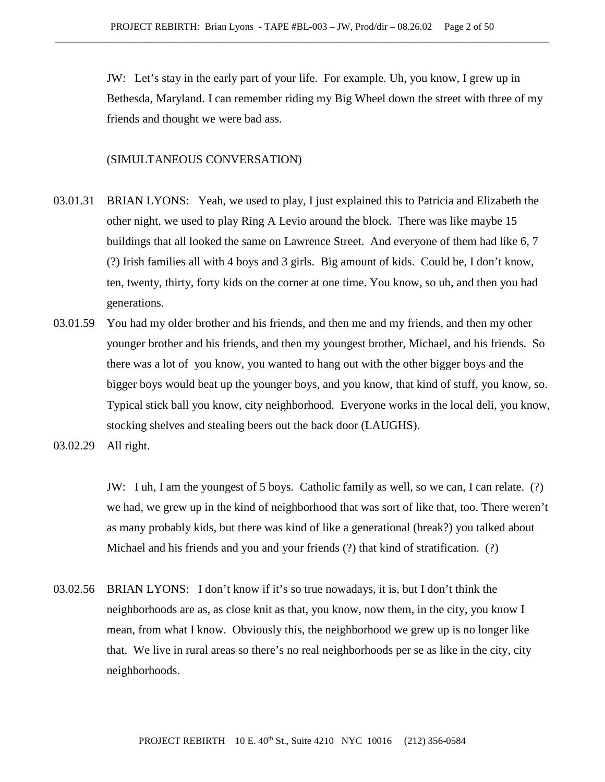JW: Let's stay in the early part of your life. For example. Uh, you know, I grew up in Bethesda, Maryland. I can remember riding my Big Wheel down the street with three of my friends and thought we were bad ass.

## (SIMULTANEOUS CONVERSATION)

- 03.01.31 BRIAN LYONS: Yeah, we used to play, I just explained this to Patricia and Elizabeth the other night, we used to play Ring A Levio around the block. There was like maybe 15 buildings that all looked the same on Lawrence Street. And everyone of them had like 6, 7 (?) Irish families all with 4 boys and 3 girls. Big amount of kids. Could be, I don't know, ten, twenty, thirty, forty kids on the corner at one time. You know, so uh, and then you had generations.
- 03.01.59 You had my older brother and his friends, and then me and my friends, and then my other younger brother and his friends, and then my youngest brother, Michael, and his friends. So there was a lot of you know, you wanted to hang out with the other bigger boys and the bigger boys would beat up the younger boys, and you know, that kind of stuff, you know, so. Typical stick ball you know, city neighborhood. Everyone works in the local deli, you know, stocking shelves and stealing beers out the back door (LAUGHS).
- 03.02.29 All right.

JW: I uh, I am the youngest of 5 boys. Catholic family as well, so we can, I can relate. (?) we had, we grew up in the kind of neighborhood that was sort of like that, too. There weren't as many probably kids, but there was kind of like a generational (break?) you talked about Michael and his friends and you and your friends (?) that kind of stratification. (?)

03.02.56 BRIAN LYONS: I don't know if it's so true nowadays, it is, but I don't think the neighborhoods are as, as close knit as that, you know, now them, in the city, you know I mean, from what I know. Obviously this, the neighborhood we grew up is no longer like that. We live in rural areas so there's no real neighborhoods per se as like in the city, city neighborhoods.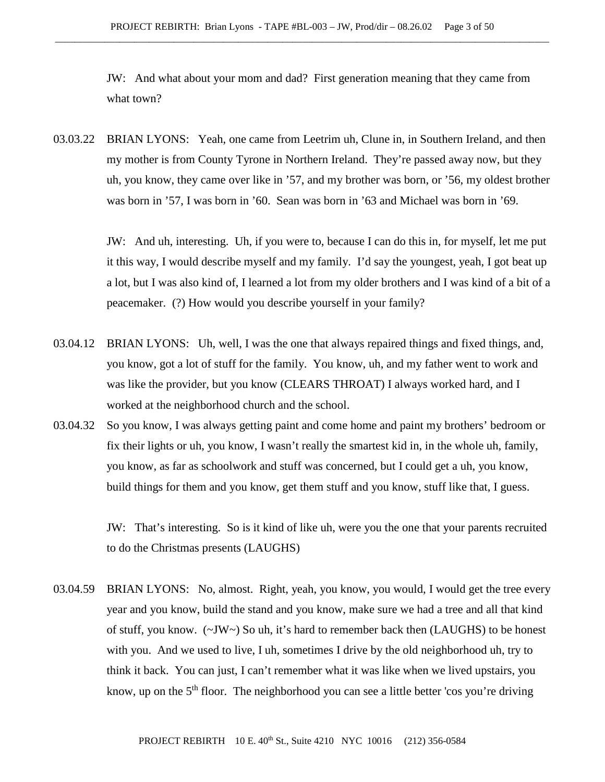JW: And what about your mom and dad? First generation meaning that they came from what town?

03.03.22 BRIAN LYONS: Yeah, one came from Leetrim uh, Clune in, in Southern Ireland, and then my mother is from County Tyrone in Northern Ireland. They're passed away now, but they uh, you know, they came over like in '57, and my brother was born, or '56, my oldest brother was born in '57, I was born in '60. Sean was born in '63 and Michael was born in '69.

> JW: And uh, interesting. Uh, if you were to, because I can do this in, for myself, let me put it this way, I would describe myself and my family. I'd say the youngest, yeah, I got beat up a lot, but I was also kind of, I learned a lot from my older brothers and I was kind of a bit of a peacemaker. (?) How would you describe yourself in your family?

- 03.04.12 BRIAN LYONS: Uh, well, I was the one that always repaired things and fixed things, and, you know, got a lot of stuff for the family. You know, uh, and my father went to work and was like the provider, but you know (CLEARS THROAT) I always worked hard, and I worked at the neighborhood church and the school.
- 03.04.32 So you know, I was always getting paint and come home and paint my brothers' bedroom or fix their lights or uh, you know, I wasn't really the smartest kid in, in the whole uh, family, you know, as far as schoolwork and stuff was concerned, but I could get a uh, you know, build things for them and you know, get them stuff and you know, stuff like that, I guess.

JW: That's interesting. So is it kind of like uh, were you the one that your parents recruited to do the Christmas presents (LAUGHS)

03.04.59 BRIAN LYONS: No, almost. Right, yeah, you know, you would, I would get the tree every year and you know, build the stand and you know, make sure we had a tree and all that kind of stuff, you know. (~JW~) So uh, it's hard to remember back then (LAUGHS) to be honest with you. And we used to live, I uh, sometimes I drive by the old neighborhood uh, try to think it back. You can just, I can't remember what it was like when we lived upstairs, you know, up on the 5<sup>th</sup> floor. The neighborhood you can see a little better 'cos you're driving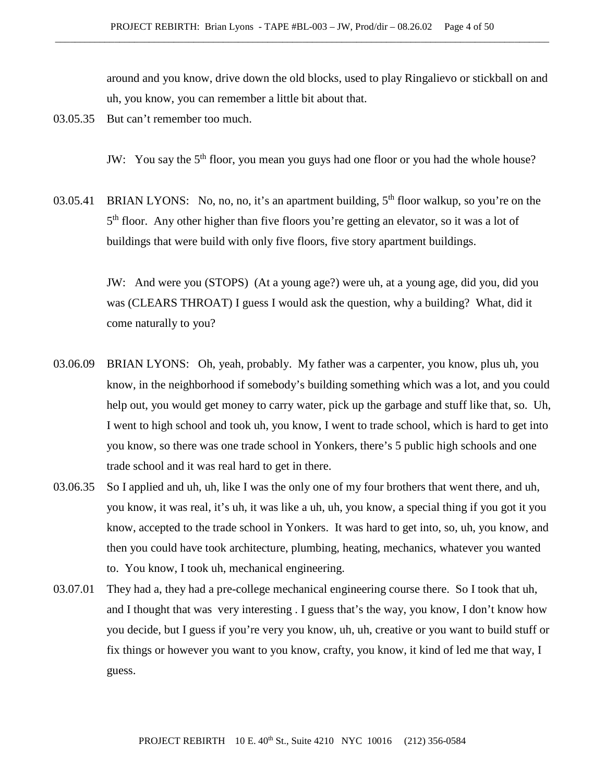around and you know, drive down the old blocks, used to play Ringalievo or stickball on and uh, you know, you can remember a little bit about that.

03.05.35 But can't remember too much.

JW: You say the 5<sup>th</sup> floor, you mean you guys had one floor or you had the whole house?

03.05.41 BRIAN LYONS: No, no, no, it's an apartment building,  $5<sup>th</sup>$  floor walkup, so you're on the 5<sup>th</sup> floor. Any other higher than five floors you're getting an elevator, so it was a lot of buildings that were build with only five floors, five story apartment buildings.

> JW: And were you (STOPS) (At a young age?) were uh, at a young age, did you, did you was (CLEARS THROAT) I guess I would ask the question, why a building? What, did it come naturally to you?

- 03.06.09 BRIAN LYONS: Oh, yeah, probably. My father was a carpenter, you know, plus uh, you know, in the neighborhood if somebody's building something which was a lot, and you could help out, you would get money to carry water, pick up the garbage and stuff like that, so. Uh, I went to high school and took uh, you know, I went to trade school, which is hard to get into you know, so there was one trade school in Yonkers, there's 5 public high schools and one trade school and it was real hard to get in there.
- 03.06.35 So I applied and uh, uh, like I was the only one of my four brothers that went there, and uh, you know, it was real, it's uh, it was like a uh, uh, you know, a special thing if you got it you know, accepted to the trade school in Yonkers. It was hard to get into, so, uh, you know, and then you could have took architecture, plumbing, heating, mechanics, whatever you wanted to. You know, I took uh, mechanical engineering.
- 03.07.01 They had a, they had a pre-college mechanical engineering course there. So I took that uh, and I thought that was very interesting . I guess that's the way, you know, I don't know how you decide, but I guess if you're very you know, uh, uh, creative or you want to build stuff or fix things or however you want to you know, crafty, you know, it kind of led me that way, I guess.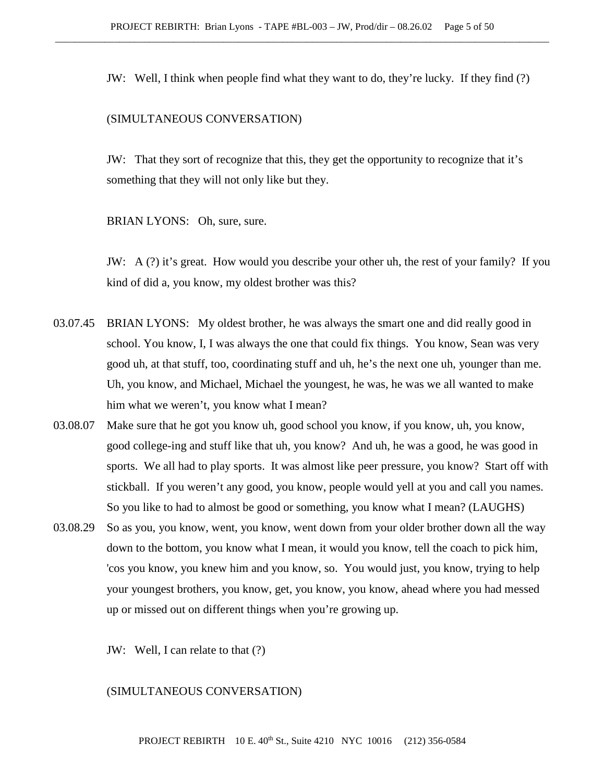JW: Well, I think when people find what they want to do, they're lucky. If they find (?)

### (SIMULTANEOUS CONVERSATION)

JW: That they sort of recognize that this, they get the opportunity to recognize that it's something that they will not only like but they.

BRIAN LYONS: Oh, sure, sure.

JW: A (?) it's great. How would you describe your other uh, the rest of your family? If you kind of did a, you know, my oldest brother was this?

- 03.07.45 BRIAN LYONS: My oldest brother, he was always the smart one and did really good in school. You know, I, I was always the one that could fix things. You know, Sean was very good uh, at that stuff, too, coordinating stuff and uh, he's the next one uh, younger than me. Uh, you know, and Michael, Michael the youngest, he was, he was we all wanted to make him what we weren't, you know what I mean?
- 03.08.07 Make sure that he got you know uh, good school you know, if you know, uh, you know, good college-ing and stuff like that uh, you know? And uh, he was a good, he was good in sports. We all had to play sports. It was almost like peer pressure, you know? Start off with stickball. If you weren't any good, you know, people would yell at you and call you names. So you like to had to almost be good or something, you know what I mean? (LAUGHS)
- 03.08.29 So as you, you know, went, you know, went down from your older brother down all the way down to the bottom, you know what I mean, it would you know, tell the coach to pick him, 'cos you know, you knew him and you know, so. You would just, you know, trying to help your youngest brothers, you know, get, you know, you know, ahead where you had messed up or missed out on different things when you're growing up.

JW: Well, I can relate to that (?)

### (SIMULTANEOUS CONVERSATION)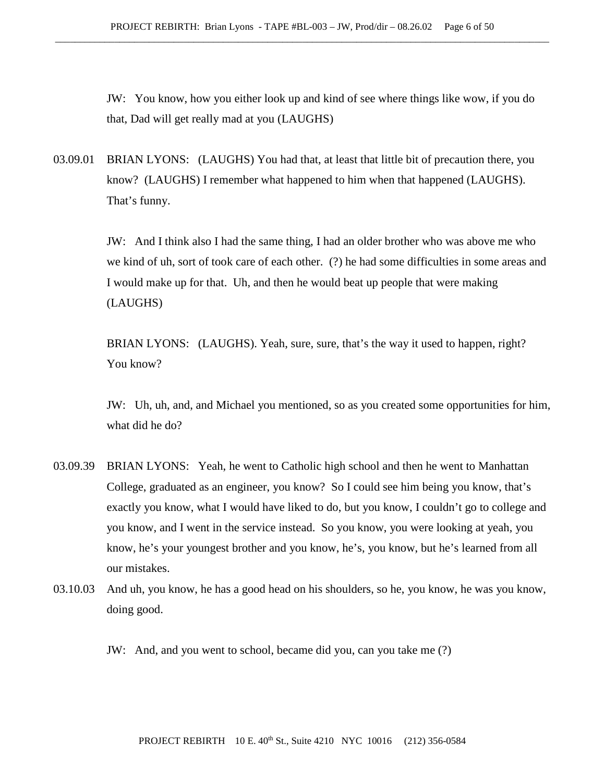JW: You know, how you either look up and kind of see where things like wow, if you do that, Dad will get really mad at you (LAUGHS)

03.09.01 BRIAN LYONS: (LAUGHS) You had that, at least that little bit of precaution there, you know? (LAUGHS) I remember what happened to him when that happened (LAUGHS). That's funny.

> JW: And I think also I had the same thing, I had an older brother who was above me who we kind of uh, sort of took care of each other. (?) he had some difficulties in some areas and I would make up for that. Uh, and then he would beat up people that were making (LAUGHS)

BRIAN LYONS: (LAUGHS). Yeah, sure, sure, that's the way it used to happen, right? You know?

JW: Uh, uh, and, and Michael you mentioned, so as you created some opportunities for him, what did he do?

- 03.09.39 BRIAN LYONS: Yeah, he went to Catholic high school and then he went to Manhattan College, graduated as an engineer, you know? So I could see him being you know, that's exactly you know, what I would have liked to do, but you know, I couldn't go to college and you know, and I went in the service instead. So you know, you were looking at yeah, you know, he's your youngest brother and you know, he's, you know, but he's learned from all our mistakes.
- 03.10.03 And uh, you know, he has a good head on his shoulders, so he, you know, he was you know, doing good.

JW: And, and you went to school, became did you, can you take me (?)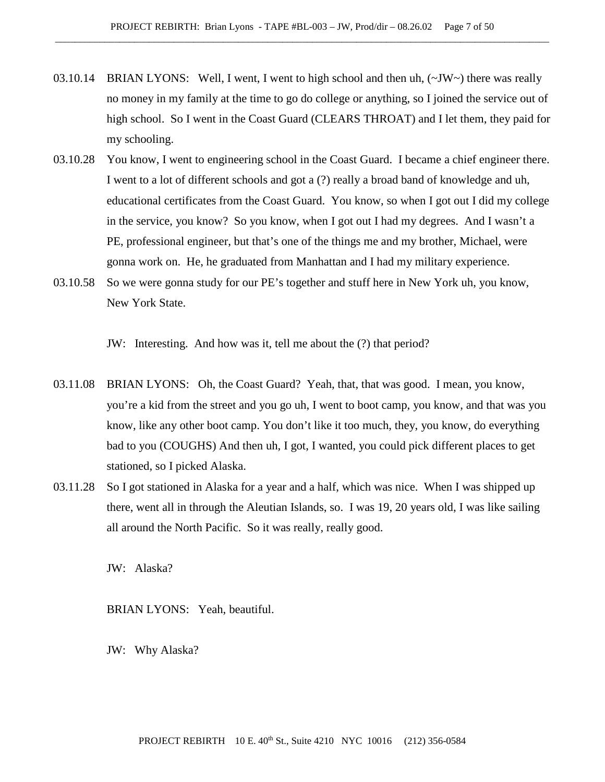- 03.10.14 BRIAN LYONS: Well, I went, I went to high school and then uh,  $(\sim JW \sim)$  there was really no money in my family at the time to go do college or anything, so I joined the service out of high school. So I went in the Coast Guard (CLEARS THROAT) and I let them, they paid for my schooling.
- 03.10.28 You know, I went to engineering school in the Coast Guard. I became a chief engineer there. I went to a lot of different schools and got a (?) really a broad band of knowledge and uh, educational certificates from the Coast Guard. You know, so when I got out I did my college in the service, you know? So you know, when I got out I had my degrees. And I wasn't a PE, professional engineer, but that's one of the things me and my brother, Michael, were gonna work on. He, he graduated from Manhattan and I had my military experience.
- 03.10.58 So we were gonna study for our PE's together and stuff here in New York uh, you know, New York State.

JW: Interesting. And how was it, tell me about the (?) that period?

- 03.11.08 BRIAN LYONS: Oh, the Coast Guard? Yeah, that, that was good. I mean, you know, you're a kid from the street and you go uh, I went to boot camp, you know, and that was you know, like any other boot camp. You don't like it too much, they, you know, do everything bad to you (COUGHS) And then uh, I got, I wanted, you could pick different places to get stationed, so I picked Alaska.
- 03.11.28 So I got stationed in Alaska for a year and a half, which was nice. When I was shipped up there, went all in through the Aleutian Islands, so. I was 19, 20 years old, I was like sailing all around the North Pacific. So it was really, really good.

JW: Alaska?

BRIAN LYONS: Yeah, beautiful.

JW: Why Alaska?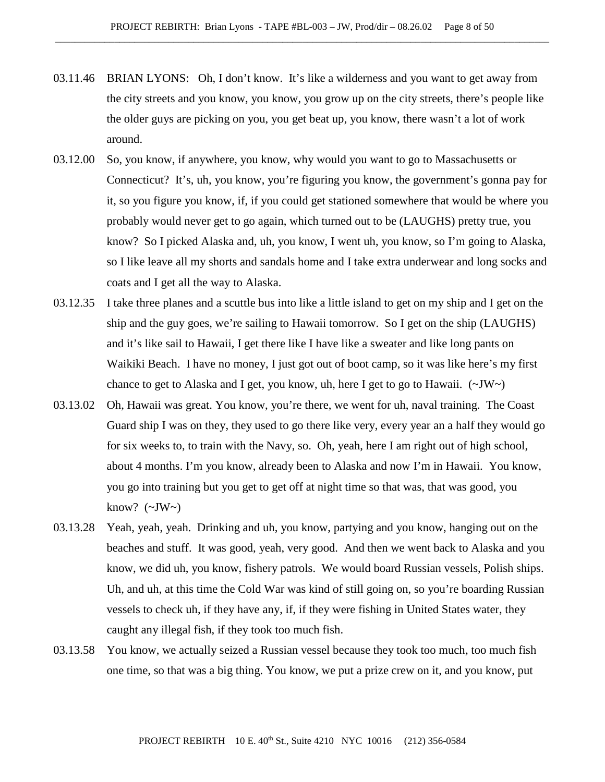- 03.11.46 BRIAN LYONS: Oh, I don't know. It's like a wilderness and you want to get away from the city streets and you know, you know, you grow up on the city streets, there's people like the older guys are picking on you, you get beat up, you know, there wasn't a lot of work around.
- 03.12.00 So, you know, if anywhere, you know, why would you want to go to Massachusetts or Connecticut? It's, uh, you know, you're figuring you know, the government's gonna pay for it, so you figure you know, if, if you could get stationed somewhere that would be where you probably would never get to go again, which turned out to be (LAUGHS) pretty true, you know? So I picked Alaska and, uh, you know, I went uh, you know, so I'm going to Alaska, so I like leave all my shorts and sandals home and I take extra underwear and long socks and coats and I get all the way to Alaska.
- 03.12.35 I take three planes and a scuttle bus into like a little island to get on my ship and I get on the ship and the guy goes, we're sailing to Hawaii tomorrow. So I get on the ship (LAUGHS) and it's like sail to Hawaii, I get there like I have like a sweater and like long pants on Waikiki Beach. I have no money, I just got out of boot camp, so it was like here's my first chance to get to Alaska and I get, you know, uh, here I get to go to Hawaii.  $(\sim JW)$
- 03.13.02 Oh, Hawaii was great. You know, you're there, we went for uh, naval training. The Coast Guard ship I was on they, they used to go there like very, every year an a half they would go for six weeks to, to train with the Navy, so. Oh, yeah, here I am right out of high school, about 4 months. I'm you know, already been to Alaska and now I'm in Hawaii. You know, you go into training but you get to get off at night time so that was, that was good, you know?  $(\sim JW)$
- 03.13.28 Yeah, yeah, yeah. Drinking and uh, you know, partying and you know, hanging out on the beaches and stuff. It was good, yeah, very good. And then we went back to Alaska and you know, we did uh, you know, fishery patrols. We would board Russian vessels, Polish ships. Uh, and uh, at this time the Cold War was kind of still going on, so you're boarding Russian vessels to check uh, if they have any, if, if they were fishing in United States water, they caught any illegal fish, if they took too much fish.
- 03.13.58 You know, we actually seized a Russian vessel because they took too much, too much fish one time, so that was a big thing. You know, we put a prize crew on it, and you know, put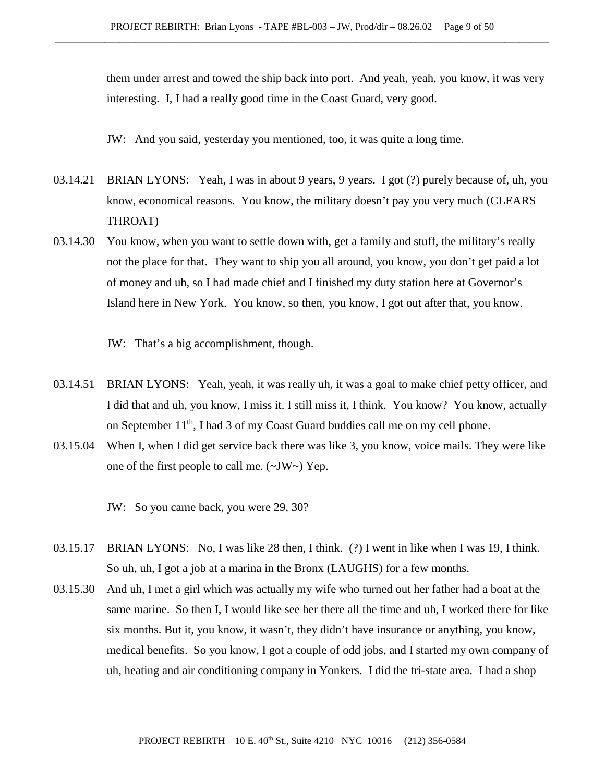them under arrest and towed the ship back into port. And yeah, yeah, you know, it was very interesting. I, I had a really good time in the Coast Guard, very good.

JW: And you said, yesterday you mentioned, too, it was quite a long time.

- 03.14.21 BRIAN LYONS: Yeah, I was in about 9 years, 9 years. I got (?) purely because of, uh, you know, economical reasons. You know, the military doesn't pay you very much (CLEARS THROAT)
- 03.14.30 You know, when you want to settle down with, get a family and stuff, the military's really not the place for that. They want to ship you all around, you know, you don't get paid a lot of money and uh, so I had made chief and I finished my duty station here at Governor's Island here in New York. You know, so then, you know, I got out after that, you know.
	- JW: That's a big accomplishment, though.
- 03.14.51 BRIAN LYONS: Yeah, yeah, it was really uh, it was a goal to make chief petty officer, and I did that and uh, you know, I miss it. I still miss it, I think. You know? You know, actually on September 11<sup>th</sup>, I had 3 of my Coast Guard buddies call me on my cell phone.
- 03.15.04 When I, when I did get service back there was like 3, you know, voice mails. They were like one of the first people to call me. (~JW~) Yep.

JW: So you came back, you were 29, 30?

- 03.15.17 BRIAN LYONS: No, I was like 28 then, I think. (?) I went in like when I was 19, I think. So uh, uh, I got a job at a marina in the Bronx (LAUGHS) for a few months.
- 03.15.30 And uh, I met a girl which was actually my wife who turned out her father had a boat at the same marine. So then I, I would like see her there all the time and uh, I worked there for like six months. But it, you know, it wasn't, they didn't have insurance or anything, you know, medical benefits. So you know, I got a couple of odd jobs, and I started my own company of uh, heating and air conditioning company in Yonkers. I did the tri-state area. I had a shop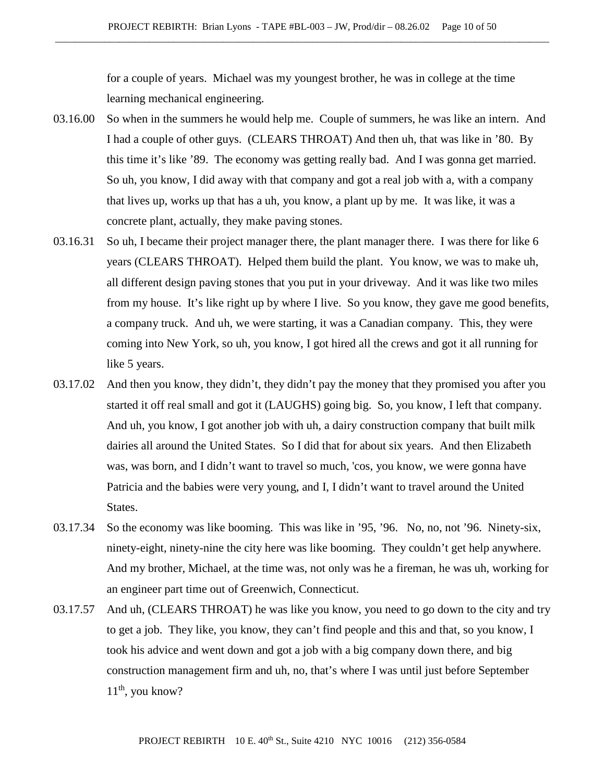for a couple of years. Michael was my youngest brother, he was in college at the time learning mechanical engineering.

- 03.16.00 So when in the summers he would help me. Couple of summers, he was like an intern. And I had a couple of other guys. (CLEARS THROAT) And then uh, that was like in '80. By this time it's like '89. The economy was getting really bad. And I was gonna get married. So uh, you know, I did away with that company and got a real job with a, with a company that lives up, works up that has a uh, you know, a plant up by me. It was like, it was a concrete plant, actually, they make paving stones.
- 03.16.31 So uh, I became their project manager there, the plant manager there. I was there for like 6 years (CLEARS THROAT). Helped them build the plant. You know, we was to make uh, all different design paving stones that you put in your driveway. And it was like two miles from my house. It's like right up by where I live. So you know, they gave me good benefits, a company truck. And uh, we were starting, it was a Canadian company. This, they were coming into New York, so uh, you know, I got hired all the crews and got it all running for like 5 years.
- 03.17.02 And then you know, they didn't, they didn't pay the money that they promised you after you started it off real small and got it (LAUGHS) going big. So, you know, I left that company. And uh, you know, I got another job with uh, a dairy construction company that built milk dairies all around the United States. So I did that for about six years. And then Elizabeth was, was born, and I didn't want to travel so much, 'cos, you know, we were gonna have Patricia and the babies were very young, and I, I didn't want to travel around the United States.
- 03.17.34 So the economy was like booming. This was like in '95, '96. No, no, not '96. Ninety-six, ninety-eight, ninety-nine the city here was like booming. They couldn't get help anywhere. And my brother, Michael, at the time was, not only was he a fireman, he was uh, working for an engineer part time out of Greenwich, Connecticut.
- 03.17.57 And uh, (CLEARS THROAT) he was like you know, you need to go down to the city and try to get a job. They like, you know, they can't find people and this and that, so you know, I took his advice and went down and got a job with a big company down there, and big construction management firm and uh, no, that's where I was until just before September  $11<sup>th</sup>$ , you know?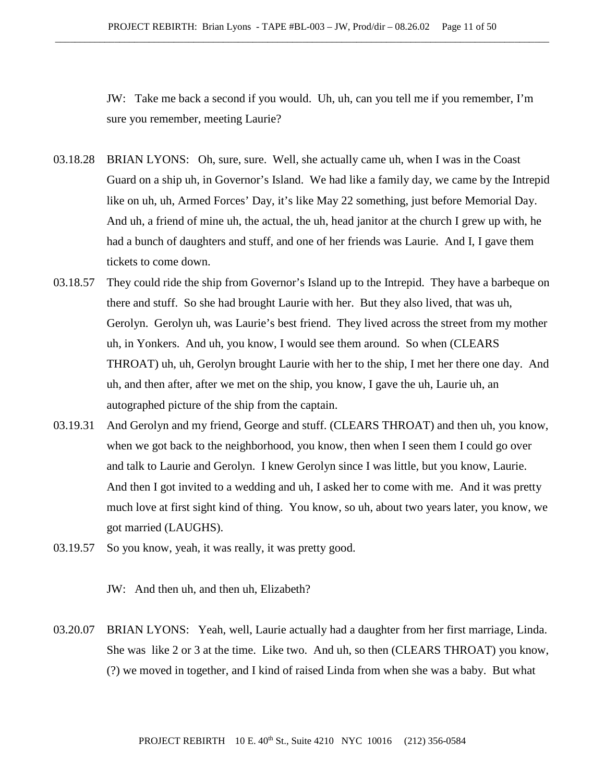JW: Take me back a second if you would. Uh, uh, can you tell me if you remember, I'm sure you remember, meeting Laurie?

- 03.18.28 BRIAN LYONS: Oh, sure, sure. Well, she actually came uh, when I was in the Coast Guard on a ship uh, in Governor's Island. We had like a family day, we came by the Intrepid like on uh, uh, Armed Forces' Day, it's like May 22 something, just before Memorial Day. And uh, a friend of mine uh, the actual, the uh, head janitor at the church I grew up with, he had a bunch of daughters and stuff, and one of her friends was Laurie. And I, I gave them tickets to come down.
- 03.18.57 They could ride the ship from Governor's Island up to the Intrepid. They have a barbeque on there and stuff. So she had brought Laurie with her. But they also lived, that was uh, Gerolyn. Gerolyn uh, was Laurie's best friend. They lived across the street from my mother uh, in Yonkers. And uh, you know, I would see them around. So when (CLEARS THROAT) uh, uh, Gerolyn brought Laurie with her to the ship, I met her there one day. And uh, and then after, after we met on the ship, you know, I gave the uh, Laurie uh, an autographed picture of the ship from the captain.
- 03.19.31 And Gerolyn and my friend, George and stuff. (CLEARS THROAT) and then uh, you know, when we got back to the neighborhood, you know, then when I seen them I could go over and talk to Laurie and Gerolyn. I knew Gerolyn since I was little, but you know, Laurie. And then I got invited to a wedding and uh, I asked her to come with me. And it was pretty much love at first sight kind of thing. You know, so uh, about two years later, you know, we got married (LAUGHS).
- 03.19.57 So you know, yeah, it was really, it was pretty good.

JW: And then uh, and then uh, Elizabeth?

03.20.07 BRIAN LYONS: Yeah, well, Laurie actually had a daughter from her first marriage, Linda. She was like 2 or 3 at the time. Like two. And uh, so then (CLEARS THROAT) you know, (?) we moved in together, and I kind of raised Linda from when she was a baby. But what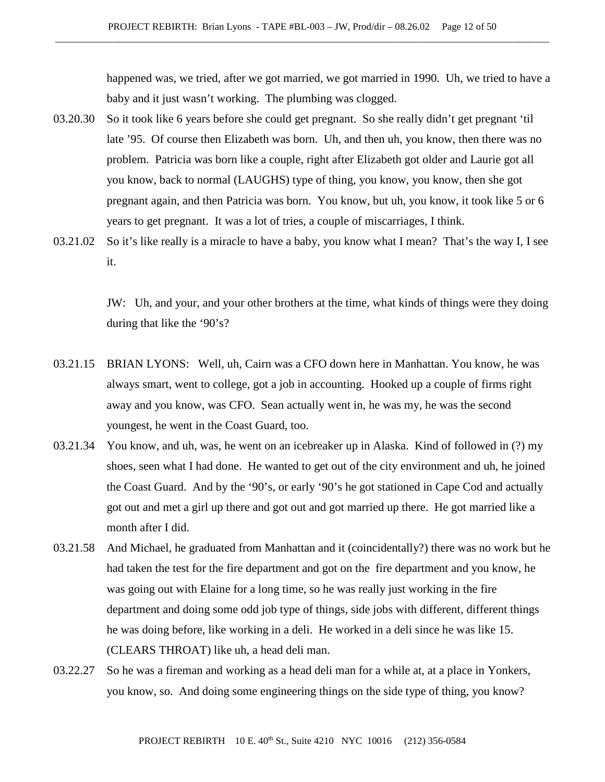happened was, we tried, after we got married, we got married in 1990. Uh, we tried to have a baby and it just wasn't working. The plumbing was clogged.

- 03.20.30 So it took like 6 years before she could get pregnant. So she really didn't get pregnant 'til late '95. Of course then Elizabeth was born. Uh, and then uh, you know, then there was no problem. Patricia was born like a couple, right after Elizabeth got older and Laurie got all you know, back to normal (LAUGHS) type of thing, you know, you know, then she got pregnant again, and then Patricia was born. You know, but uh, you know, it took like 5 or 6 years to get pregnant. It was a lot of tries, a couple of miscarriages, I think.
- 03.21.02 So it's like really is a miracle to have a baby, you know what I mean? That's the way I, I see it.

JW: Uh, and your, and your other brothers at the time, what kinds of things were they doing during that like the '90's?

- 03.21.15 BRIAN LYONS: Well, uh, Cairn was a CFO down here in Manhattan. You know, he was always smart, went to college, got a job in accounting. Hooked up a couple of firms right away and you know, was CFO. Sean actually went in, he was my, he was the second youngest, he went in the Coast Guard, too.
- 03.21.34 You know, and uh, was, he went on an icebreaker up in Alaska. Kind of followed in (?) my shoes, seen what I had done. He wanted to get out of the city environment and uh, he joined the Coast Guard. And by the '90's, or early '90's he got stationed in Cape Cod and actually got out and met a girl up there and got out and got married up there. He got married like a month after I did.
- 03.21.58 And Michael, he graduated from Manhattan and it (coincidentally?) there was no work but he had taken the test for the fire department and got on the fire department and you know, he was going out with Elaine for a long time, so he was really just working in the fire department and doing some odd job type of things, side jobs with different, different things he was doing before, like working in a deli. He worked in a deli since he was like 15. (CLEARS THROAT) like uh, a head deli man.
- 03.22.27 So he was a fireman and working as a head deli man for a while at, at a place in Yonkers, you know, so. And doing some engineering things on the side type of thing, you know?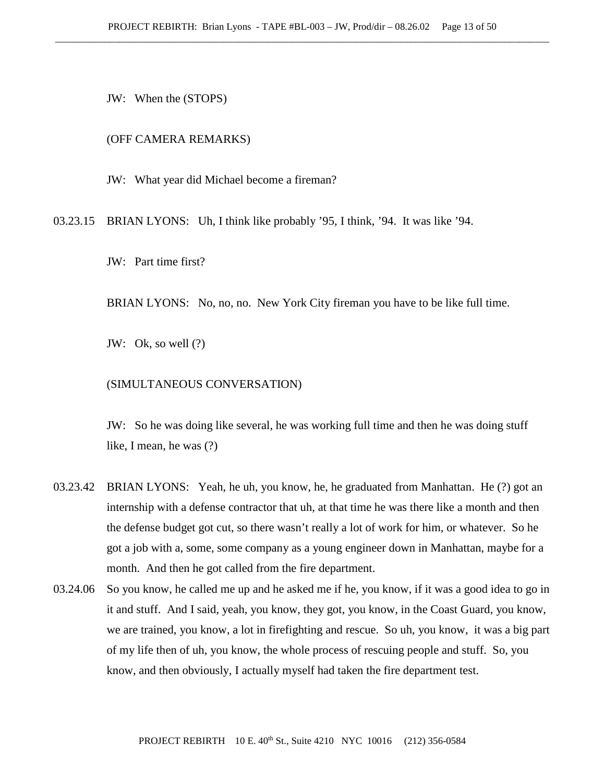JW: When the (STOPS)

#### (OFF CAMERA REMARKS)

JW: What year did Michael become a fireman?

03.23.15 BRIAN LYONS: Uh, I think like probably '95, I think, '94. It was like '94.

JW: Part time first?

BRIAN LYONS: No, no, no. New York City fireman you have to be like full time.

JW: Ok, so well (?)

#### (SIMULTANEOUS CONVERSATION)

JW: So he was doing like several, he was working full time and then he was doing stuff like, I mean, he was (?)

- 03.23.42 BRIAN LYONS: Yeah, he uh, you know, he, he graduated from Manhattan. He (?) got an internship with a defense contractor that uh, at that time he was there like a month and then the defense budget got cut, so there wasn't really a lot of work for him, or whatever. So he got a job with a, some, some company as a young engineer down in Manhattan, maybe for a month. And then he got called from the fire department.
- 03.24.06 So you know, he called me up and he asked me if he, you know, if it was a good idea to go in it and stuff. And I said, yeah, you know, they got, you know, in the Coast Guard, you know, we are trained, you know, a lot in firefighting and rescue. So uh, you know, it was a big part of my life then of uh, you know, the whole process of rescuing people and stuff. So, you know, and then obviously, I actually myself had taken the fire department test.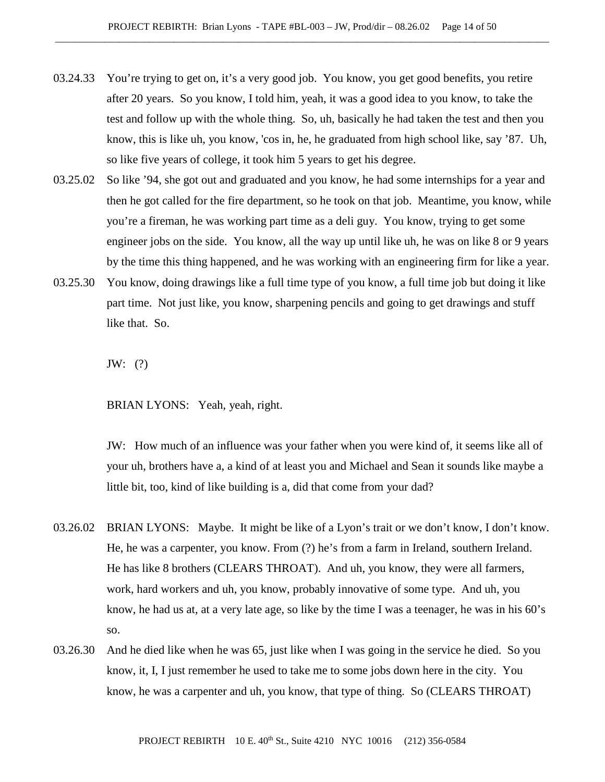- 03.24.33 You're trying to get on, it's a very good job. You know, you get good benefits, you retire after 20 years. So you know, I told him, yeah, it was a good idea to you know, to take the test and follow up with the whole thing. So, uh, basically he had taken the test and then you know, this is like uh, you know, 'cos in, he, he graduated from high school like, say '87. Uh, so like five years of college, it took him 5 years to get his degree.
- 03.25.02 So like '94, she got out and graduated and you know, he had some internships for a year and then he got called for the fire department, so he took on that job. Meantime, you know, while you're a fireman, he was working part time as a deli guy. You know, trying to get some engineer jobs on the side. You know, all the way up until like uh, he was on like 8 or 9 years by the time this thing happened, and he was working with an engineering firm for like a year.
- 03.25.30 You know, doing drawings like a full time type of you know, a full time job but doing it like part time. Not just like, you know, sharpening pencils and going to get drawings and stuff like that. So.

JW: (?)

BRIAN LYONS: Yeah, yeah, right.

JW: How much of an influence was your father when you were kind of, it seems like all of your uh, brothers have a, a kind of at least you and Michael and Sean it sounds like maybe a little bit, too, kind of like building is a, did that come from your dad?

- 03.26.02 BRIAN LYONS: Maybe. It might be like of a Lyon's trait or we don't know, I don't know. He, he was a carpenter, you know. From (?) he's from a farm in Ireland, southern Ireland. He has like 8 brothers (CLEARS THROAT). And uh, you know, they were all farmers, work, hard workers and uh, you know, probably innovative of some type. And uh, you know, he had us at, at a very late age, so like by the time I was a teenager, he was in his 60's so.
- 03.26.30 And he died like when he was 65, just like when I was going in the service he died. So you know, it, I, I just remember he used to take me to some jobs down here in the city. You know, he was a carpenter and uh, you know, that type of thing. So (CLEARS THROAT)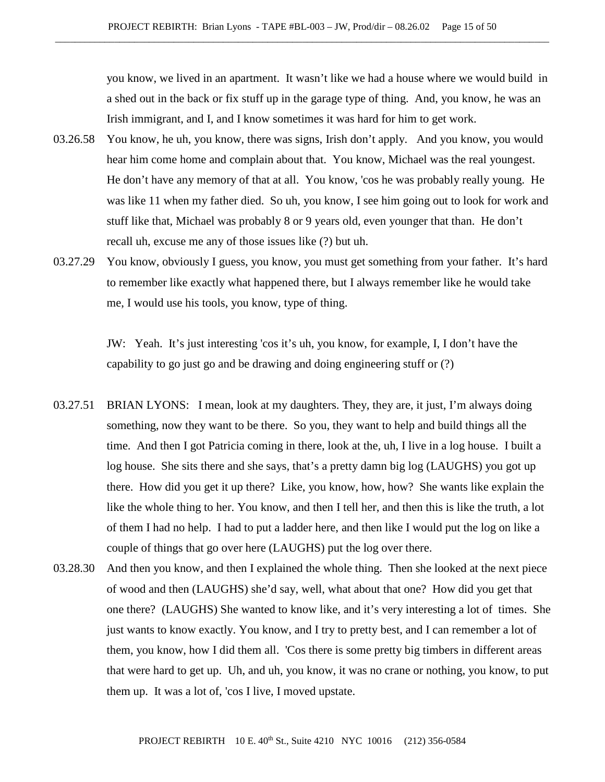you know, we lived in an apartment. It wasn't like we had a house where we would build in a shed out in the back or fix stuff up in the garage type of thing. And, you know, he was an Irish immigrant, and I, and I know sometimes it was hard for him to get work.

- 03.26.58 You know, he uh, you know, there was signs, Irish don't apply. And you know, you would hear him come home and complain about that. You know, Michael was the real youngest. He don't have any memory of that at all. You know, 'cos he was probably really young. He was like 11 when my father died. So uh, you know, I see him going out to look for work and stuff like that, Michael was probably 8 or 9 years old, even younger that than. He don't recall uh, excuse me any of those issues like (?) but uh.
- 03.27.29 You know, obviously I guess, you know, you must get something from your father. It's hard to remember like exactly what happened there, but I always remember like he would take me, I would use his tools, you know, type of thing.

JW: Yeah. It's just interesting 'cos it's uh, you know, for example, I, I don't have the capability to go just go and be drawing and doing engineering stuff or (?)

- 03.27.51 BRIAN LYONS: I mean, look at my daughters. They, they are, it just, I'm always doing something, now they want to be there. So you, they want to help and build things all the time. And then I got Patricia coming in there, look at the, uh, I live in a log house. I built a log house. She sits there and she says, that's a pretty damn big log (LAUGHS) you got up there. How did you get it up there? Like, you know, how, how? She wants like explain the like the whole thing to her. You know, and then I tell her, and then this is like the truth, a lot of them I had no help. I had to put a ladder here, and then like I would put the log on like a couple of things that go over here (LAUGHS) put the log over there.
- 03.28.30 And then you know, and then I explained the whole thing. Then she looked at the next piece of wood and then (LAUGHS) she'd say, well, what about that one? How did you get that one there? (LAUGHS) She wanted to know like, and it's very interesting a lot of times. She just wants to know exactly. You know, and I try to pretty best, and I can remember a lot of them, you know, how I did them all. 'Cos there is some pretty big timbers in different areas that were hard to get up. Uh, and uh, you know, it was no crane or nothing, you know, to put them up. It was a lot of, 'cos I live, I moved upstate.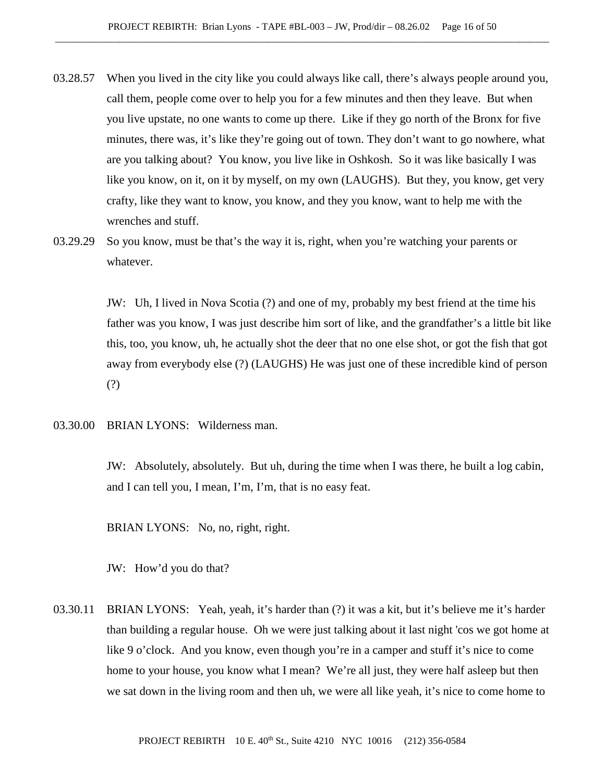- 03.28.57 When you lived in the city like you could always like call, there's always people around you, call them, people come over to help you for a few minutes and then they leave. But when you live upstate, no one wants to come up there. Like if they go north of the Bronx for five minutes, there was, it's like they're going out of town. They don't want to go nowhere, what are you talking about? You know, you live like in Oshkosh. So it was like basically I was like you know, on it, on it by myself, on my own (LAUGHS). But they, you know, get very crafty, like they want to know, you know, and they you know, want to help me with the wrenches and stuff.
- 03.29.29 So you know, must be that's the way it is, right, when you're watching your parents or whatever.

JW: Uh, I lived in Nova Scotia (?) and one of my, probably my best friend at the time his father was you know, I was just describe him sort of like, and the grandfather's a little bit like this, too, you know, uh, he actually shot the deer that no one else shot, or got the fish that got away from everybody else (?) (LAUGHS) He was just one of these incredible kind of person (?)

03.30.00 BRIAN LYONS: Wilderness man.

JW: Absolutely, absolutely. But uh, during the time when I was there, he built a log cabin, and I can tell you, I mean, I'm, I'm, that is no easy feat.

BRIAN LYONS: No, no, right, right.

JW: How'd you do that?

03.30.11 BRIAN LYONS: Yeah, yeah, it's harder than (?) it was a kit, but it's believe me it's harder than building a regular house. Oh we were just talking about it last night 'cos we got home at like 9 o'clock. And you know, even though you're in a camper and stuff it's nice to come home to your house, you know what I mean? We're all just, they were half asleep but then we sat down in the living room and then uh, we were all like yeah, it's nice to come home to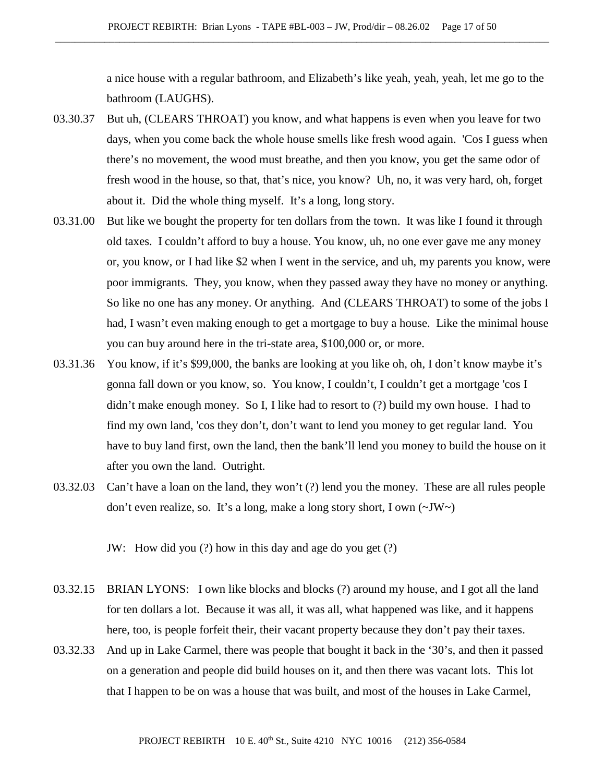a nice house with a regular bathroom, and Elizabeth's like yeah, yeah, yeah, let me go to the bathroom (LAUGHS).

- 03.30.37 But uh, (CLEARS THROAT) you know, and what happens is even when you leave for two days, when you come back the whole house smells like fresh wood again. 'Cos I guess when there's no movement, the wood must breathe, and then you know, you get the same odor of fresh wood in the house, so that, that's nice, you know? Uh, no, it was very hard, oh, forget about it. Did the whole thing myself. It's a long, long story.
- 03.31.00 But like we bought the property for ten dollars from the town. It was like I found it through old taxes. I couldn't afford to buy a house. You know, uh, no one ever gave me any money or, you know, or I had like \$2 when I went in the service, and uh, my parents you know, were poor immigrants. They, you know, when they passed away they have no money or anything. So like no one has any money. Or anything. And (CLEARS THROAT) to some of the jobs I had, I wasn't even making enough to get a mortgage to buy a house. Like the minimal house you can buy around here in the tri-state area, \$100,000 or, or more.
- 03.31.36 You know, if it's \$99,000, the banks are looking at you like oh, oh, I don't know maybe it's gonna fall down or you know, so. You know, I couldn't, I couldn't get a mortgage 'cos I didn't make enough money. So I, I like had to resort to (?) build my own house. I had to find my own land, 'cos they don't, don't want to lend you money to get regular land. You have to buy land first, own the land, then the bank'll lend you money to build the house on it after you own the land. Outright.
- 03.32.03 Can't have a loan on the land, they won't (?) lend you the money. These are all rules people don't even realize, so. It's a long, make a long story short, I own (~JW~)

JW: How did you (?) how in this day and age do you get (?)

- 03.32.15 BRIAN LYONS: I own like blocks and blocks (?) around my house, and I got all the land for ten dollars a lot. Because it was all, it was all, what happened was like, and it happens here, too, is people forfeit their, their vacant property because they don't pay their taxes.
- 03.32.33 And up in Lake Carmel, there was people that bought it back in the '30's, and then it passed on a generation and people did build houses on it, and then there was vacant lots. This lot that I happen to be on was a house that was built, and most of the houses in Lake Carmel,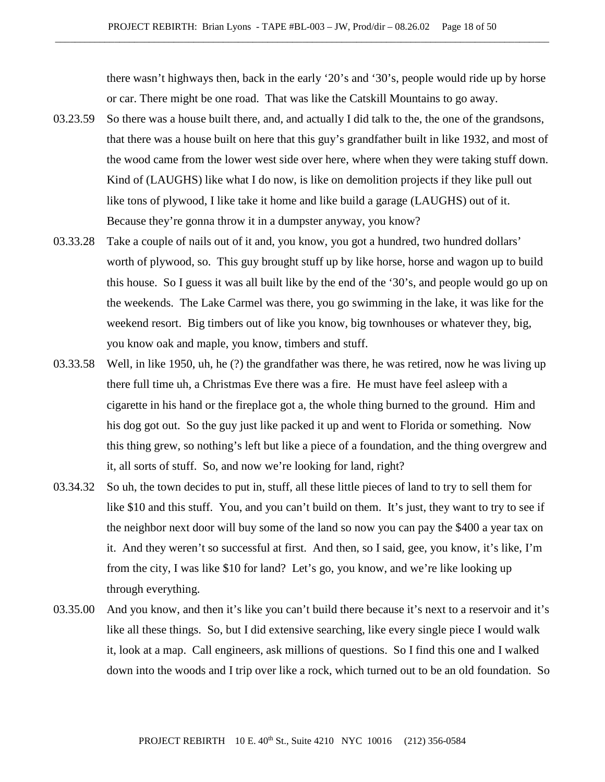there wasn't highways then, back in the early '20's and '30's, people would ride up by horse or car. There might be one road. That was like the Catskill Mountains to go away.

- 03.23.59 So there was a house built there, and, and actually I did talk to the, the one of the grandsons, that there was a house built on here that this guy's grandfather built in like 1932, and most of the wood came from the lower west side over here, where when they were taking stuff down. Kind of (LAUGHS) like what I do now, is like on demolition projects if they like pull out like tons of plywood, I like take it home and like build a garage (LAUGHS) out of it. Because they're gonna throw it in a dumpster anyway, you know?
- 03.33.28 Take a couple of nails out of it and, you know, you got a hundred, two hundred dollars' worth of plywood, so. This guy brought stuff up by like horse, horse and wagon up to build this house. So I guess it was all built like by the end of the '30's, and people would go up on the weekends. The Lake Carmel was there, you go swimming in the lake, it was like for the weekend resort. Big timbers out of like you know, big townhouses or whatever they, big, you know oak and maple, you know, timbers and stuff.
- 03.33.58 Well, in like 1950, uh, he (?) the grandfather was there, he was retired, now he was living up there full time uh, a Christmas Eve there was a fire. He must have feel asleep with a cigarette in his hand or the fireplace got a, the whole thing burned to the ground. Him and his dog got out. So the guy just like packed it up and went to Florida or something. Now this thing grew, so nothing's left but like a piece of a foundation, and the thing overgrew and it, all sorts of stuff. So, and now we're looking for land, right?
- 03.34.32 So uh, the town decides to put in, stuff, all these little pieces of land to try to sell them for like \$10 and this stuff. You, and you can't build on them. It's just, they want to try to see if the neighbor next door will buy some of the land so now you can pay the \$400 a year tax on it. And they weren't so successful at first. And then, so I said, gee, you know, it's like, I'm from the city, I was like \$10 for land? Let's go, you know, and we're like looking up through everything.
- 03.35.00 And you know, and then it's like you can't build there because it's next to a reservoir and it's like all these things. So, but I did extensive searching, like every single piece I would walk it, look at a map. Call engineers, ask millions of questions. So I find this one and I walked down into the woods and I trip over like a rock, which turned out to be an old foundation. So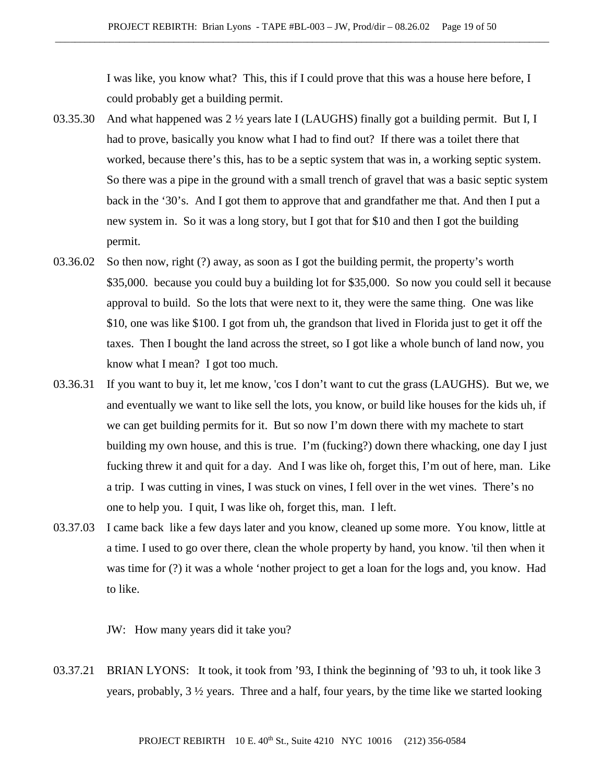I was like, you know what? This, this if I could prove that this was a house here before, I could probably get a building permit.

- 03.35.30 And what happened was 2  $\frac{1}{2}$  years late I (LAUGHS) finally got a building permit. But I, I had to prove, basically you know what I had to find out? If there was a toilet there that worked, because there's this, has to be a septic system that was in, a working septic system. So there was a pipe in the ground with a small trench of gravel that was a basic septic system back in the '30's. And I got them to approve that and grandfather me that. And then I put a new system in. So it was a long story, but I got that for \$10 and then I got the building permit.
- 03.36.02 So then now, right (?) away, as soon as I got the building permit, the property's worth \$35,000. because you could buy a building lot for \$35,000. So now you could sell it because approval to build. So the lots that were next to it, they were the same thing. One was like \$10, one was like \$100. I got from uh, the grandson that lived in Florida just to get it off the taxes. Then I bought the land across the street, so I got like a whole bunch of land now, you know what I mean? I got too much.
- 03.36.31 If you want to buy it, let me know, 'cos I don't want to cut the grass (LAUGHS). But we, we and eventually we want to like sell the lots, you know, or build like houses for the kids uh, if we can get building permits for it. But so now I'm down there with my machete to start building my own house, and this is true. I'm (fucking?) down there whacking, one day I just fucking threw it and quit for a day. And I was like oh, forget this, I'm out of here, man. Like a trip. I was cutting in vines, I was stuck on vines, I fell over in the wet vines. There's no one to help you. I quit, I was like oh, forget this, man. I left.
- 03.37.03 I came back like a few days later and you know, cleaned up some more. You know, little at a time. I used to go over there, clean the whole property by hand, you know. 'til then when it was time for (?) it was a whole 'nother project to get a loan for the logs and, you know. Had to like.

JW: How many years did it take you?

03.37.21 BRIAN LYONS: It took, it took from '93, I think the beginning of '93 to uh, it took like 3 years, probably, 3 ½ years. Three and a half, four years, by the time like we started looking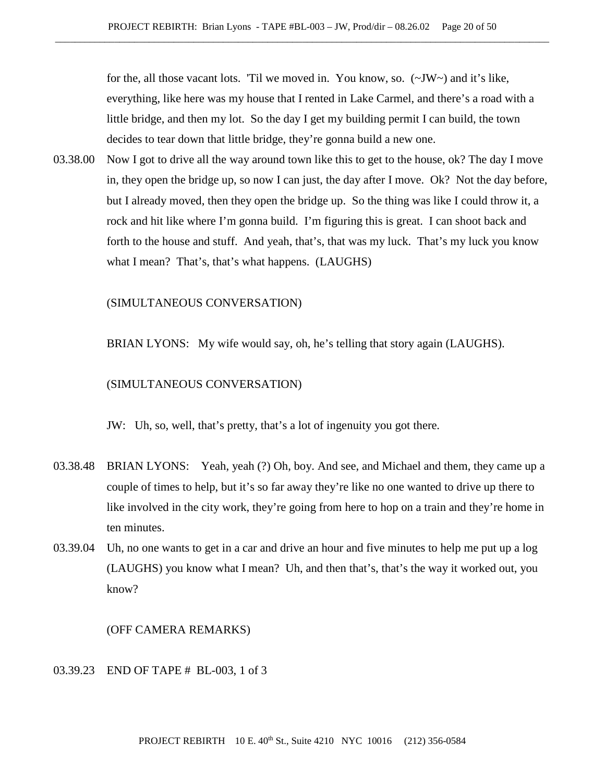for the, all those vacant lots. 'Til we moved in. You know, so. (~JW~) and it's like, everything, like here was my house that I rented in Lake Carmel, and there's a road with a little bridge, and then my lot. So the day I get my building permit I can build, the town decides to tear down that little bridge, they're gonna build a new one.

03.38.00 Now I got to drive all the way around town like this to get to the house, ok? The day I move in, they open the bridge up, so now I can just, the day after I move. Ok? Not the day before, but I already moved, then they open the bridge up. So the thing was like I could throw it, a rock and hit like where I'm gonna build. I'm figuring this is great. I can shoot back and forth to the house and stuff. And yeah, that's, that was my luck. That's my luck you know what I mean? That's, that's what happens. (LAUGHS)

(SIMULTANEOUS CONVERSATION)

BRIAN LYONS: My wife would say, oh, he's telling that story again (LAUGHS).

#### (SIMULTANEOUS CONVERSATION)

JW: Uh, so, well, that's pretty, that's a lot of ingenuity you got there.

- 03.38.48 BRIAN LYONS: Yeah, yeah (?) Oh, boy. And see, and Michael and them, they came up a couple of times to help, but it's so far away they're like no one wanted to drive up there to like involved in the city work, they're going from here to hop on a train and they're home in ten minutes.
- 03.39.04 Uh, no one wants to get in a car and drive an hour and five minutes to help me put up a log (LAUGHS) you know what I mean? Uh, and then that's, that's the way it worked out, you know?

(OFF CAMERA REMARKS)

### 03.39.23 END OF TAPE # BL-003, 1 of 3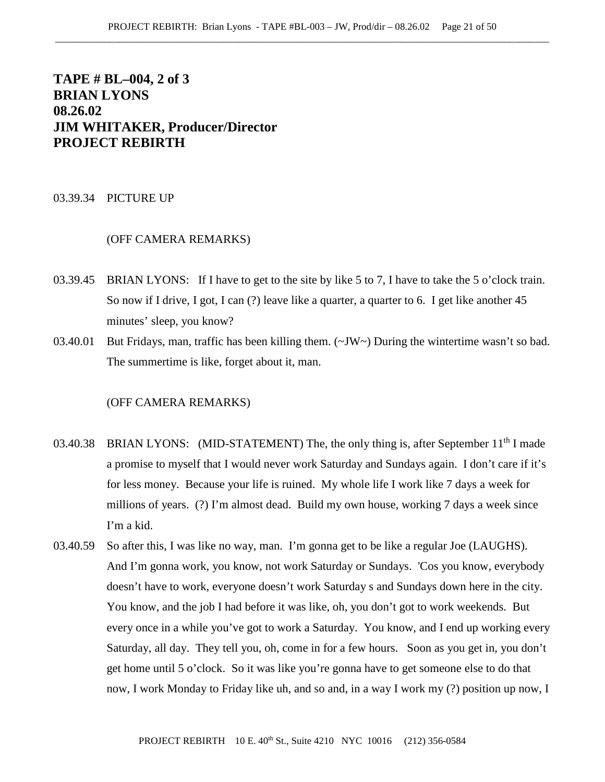# **TAPE # BL–004, 2 of 3 BRIAN LYONS 08.26.02 JIM WHITAKER, Producer/Director PROJECT REBIRTH**

#### 03.39.34 PICTURE UP

## (OFF CAMERA REMARKS)

- 03.39.45 BRIAN LYONS: If I have to get to the site by like 5 to 7, I have to take the 5 o'clock train. So now if I drive, I got, I can (?) leave like a quarter, a quarter to 6. I get like another 45 minutes' sleep, you know?
- 03.40.01 But Fridays, man, traffic has been killing them. (~JW~) During the wintertime wasn't so bad. The summertime is like, forget about it, man.

- 03.40.38 BRIAN LYONS: (MID-STATEMENT) The, the only thing is, after September  $11<sup>th</sup>$  I made a promise to myself that I would never work Saturday and Sundays again. I don't care if it's for less money. Because your life is ruined. My whole life I work like 7 days a week for millions of years. (?) I'm almost dead. Build my own house, working 7 days a week since I'm a kid.
- 03.40.59 So after this, I was like no way, man. I'm gonna get to be like a regular Joe (LAUGHS). And I'm gonna work, you know, not work Saturday or Sundays. 'Cos you know, everybody doesn't have to work, everyone doesn't work Saturday s and Sundays down here in the city. You know, and the job I had before it was like, oh, you don't got to work weekends. But every once in a while you've got to work a Saturday. You know, and I end up working every Saturday, all day. They tell you, oh, come in for a few hours. Soon as you get in, you don't get home until 5 o'clock. So it was like you're gonna have to get someone else to do that now, I work Monday to Friday like uh, and so and, in a way I work my (?) position up now, I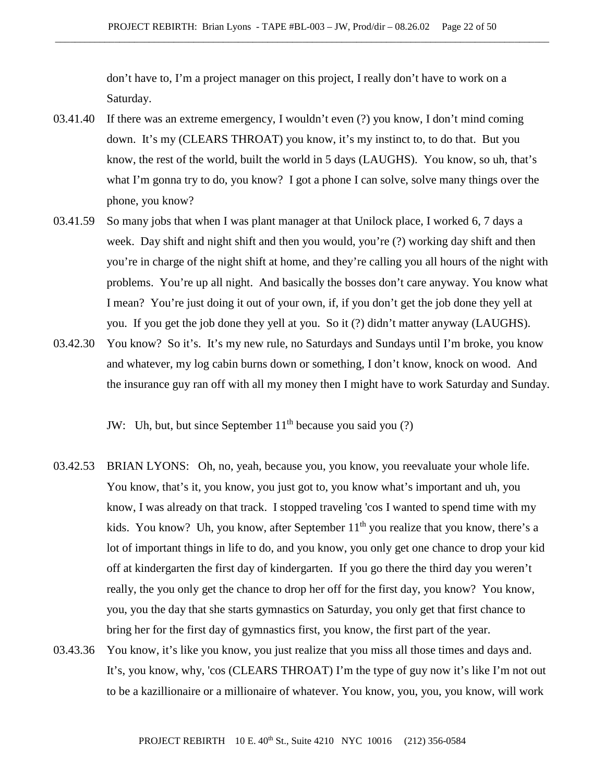don't have to, I'm a project manager on this project, I really don't have to work on a Saturday.

- 03.41.40 If there was an extreme emergency, I wouldn't even (?) you know, I don't mind coming down. It's my (CLEARS THROAT) you know, it's my instinct to, to do that. But you know, the rest of the world, built the world in 5 days (LAUGHS). You know, so uh, that's what I'm gonna try to do, you know? I got a phone I can solve, solve many things over the phone, you know?
- 03.41.59 So many jobs that when I was plant manager at that Unilock place, I worked 6, 7 days a week. Day shift and night shift and then you would, you're (?) working day shift and then you're in charge of the night shift at home, and they're calling you all hours of the night with problems. You're up all night. And basically the bosses don't care anyway. You know what I mean? You're just doing it out of your own, if, if you don't get the job done they yell at you. If you get the job done they yell at you. So it (?) didn't matter anyway (LAUGHS).
- 03.42.30 You know? So it's. It's my new rule, no Saturdays and Sundays until I'm broke, you know and whatever, my log cabin burns down or something, I don't know, knock on wood. And the insurance guy ran off with all my money then I might have to work Saturday and Sunday.

JW: Uh, but, but since September  $11<sup>th</sup>$  because you said you (?)

- 03.42.53 BRIAN LYONS: Oh, no, yeah, because you, you know, you reevaluate your whole life. You know, that's it, you know, you just got to, you know what's important and uh, you know, I was already on that track. I stopped traveling 'cos I wanted to spend time with my kids. You know? Uh, you know, after September  $11<sup>th</sup>$  you realize that you know, there's a lot of important things in life to do, and you know, you only get one chance to drop your kid off at kindergarten the first day of kindergarten. If you go there the third day you weren't really, the you only get the chance to drop her off for the first day, you know? You know, you, you the day that she starts gymnastics on Saturday, you only get that first chance to bring her for the first day of gymnastics first, you know, the first part of the year.
- 03.43.36 You know, it's like you know, you just realize that you miss all those times and days and. It's, you know, why, 'cos (CLEARS THROAT) I'm the type of guy now it's like I'm not out to be a kazillionaire or a millionaire of whatever. You know, you, you, you know, will work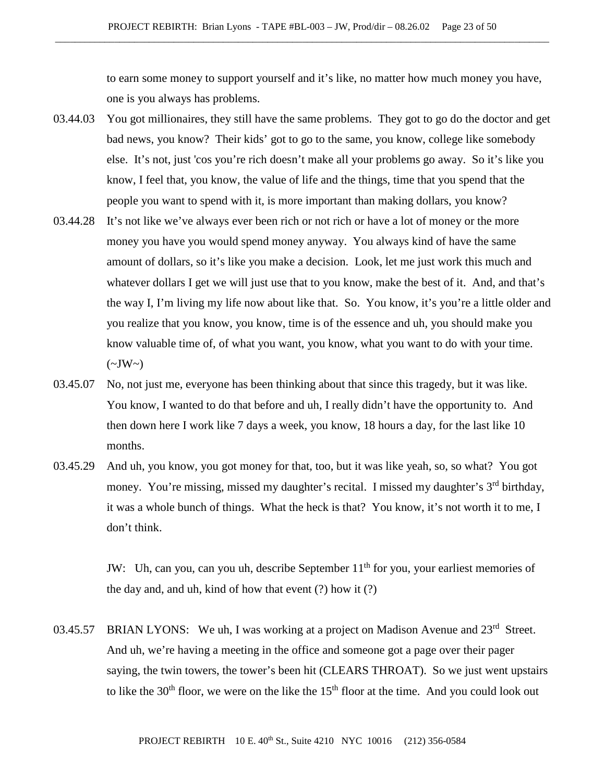to earn some money to support yourself and it's like, no matter how much money you have, one is you always has problems.

- 03.44.03 You got millionaires, they still have the same problems. They got to go do the doctor and get bad news, you know? Their kids' got to go to the same, you know, college like somebody else. It's not, just 'cos you're rich doesn't make all your problems go away. So it's like you know, I feel that, you know, the value of life and the things, time that you spend that the people you want to spend with it, is more important than making dollars, you know?
- 03.44.28 It's not like we've always ever been rich or not rich or have a lot of money or the more money you have you would spend money anyway. You always kind of have the same amount of dollars, so it's like you make a decision. Look, let me just work this much and whatever dollars I get we will just use that to you know, make the best of it. And, and that's the way I, I'm living my life now about like that. So. You know, it's you're a little older and you realize that you know, you know, time is of the essence and uh, you should make you know valuable time of, of what you want, you know, what you want to do with your time.  $(\sim JW \sim)$
- 03.45.07 No, not just me, everyone has been thinking about that since this tragedy, but it was like. You know, I wanted to do that before and uh, I really didn't have the opportunity to. And then down here I work like 7 days a week, you know, 18 hours a day, for the last like 10 months.
- 03.45.29 And uh, you know, you got money for that, too, but it was like yeah, so, so what? You got money. You're missing, missed my daughter's recital. I missed my daughter's 3<sup>rd</sup> birthday, it was a whole bunch of things. What the heck is that? You know, it's not worth it to me, I don't think.

JW: Uh, can you, can you uh, describe September  $11<sup>th</sup>$  for you, your earliest memories of the day and, and uh, kind of how that event (?) how it (?)

03.45.57 BRIAN LYONS: We uh, I was working at a project on Madison Avenue and  $23<sup>rd</sup>$  Street. And uh, we're having a meeting in the office and someone got a page over their pager saying, the twin towers, the tower's been hit (CLEARS THROAT). So we just went upstairs to like the  $30<sup>th</sup>$  floor, we were on the like the  $15<sup>th</sup>$  floor at the time. And you could look out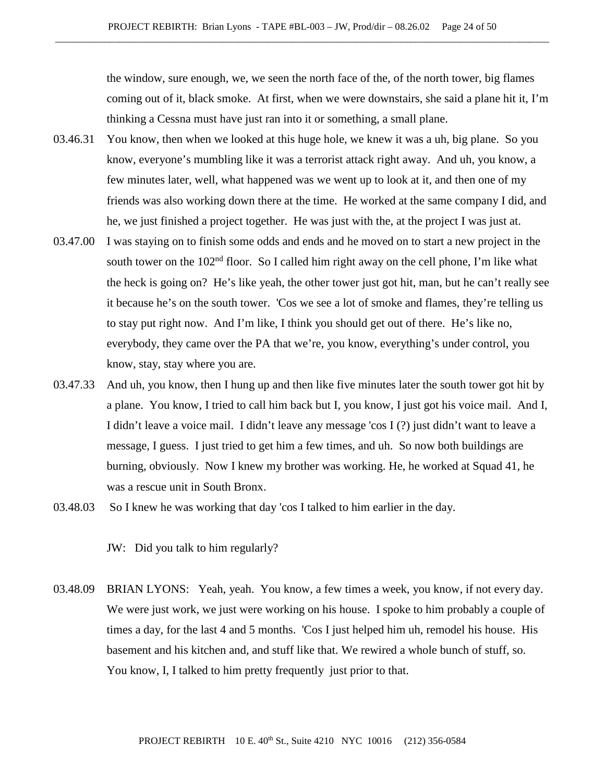the window, sure enough, we, we seen the north face of the, of the north tower, big flames coming out of it, black smoke. At first, when we were downstairs, she said a plane hit it, I'm thinking a Cessna must have just ran into it or something, a small plane.

- 03.46.31 You know, then when we looked at this huge hole, we knew it was a uh, big plane. So you know, everyone's mumbling like it was a terrorist attack right away. And uh, you know, a few minutes later, well, what happened was we went up to look at it, and then one of my friends was also working down there at the time. He worked at the same company I did, and he, we just finished a project together. He was just with the, at the project I was just at.
- 03.47.00 I was staying on to finish some odds and ends and he moved on to start a new project in the south tower on the  $102<sup>nd</sup>$  floor. So I called him right away on the cell phone, I'm like what the heck is going on? He's like yeah, the other tower just got hit, man, but he can't really see it because he's on the south tower. 'Cos we see a lot of smoke and flames, they're telling us to stay put right now. And I'm like, I think you should get out of there. He's like no, everybody, they came over the PA that we're, you know, everything's under control, you know, stay, stay where you are.
- 03.47.33 And uh, you know, then I hung up and then like five minutes later the south tower got hit by a plane. You know, I tried to call him back but I, you know, I just got his voice mail. And I, I didn't leave a voice mail. I didn't leave any message 'cos I (?) just didn't want to leave a message, I guess. I just tried to get him a few times, and uh. So now both buildings are burning, obviously. Now I knew my brother was working. He, he worked at Squad 41, he was a rescue unit in South Bronx.
- 03.48.03 So I knew he was working that day 'cos I talked to him earlier in the day.

JW: Did you talk to him regularly?

03.48.09 BRIAN LYONS: Yeah, yeah. You know, a few times a week, you know, if not every day. We were just work, we just were working on his house. I spoke to him probably a couple of times a day, for the last 4 and 5 months. 'Cos I just helped him uh, remodel his house. His basement and his kitchen and, and stuff like that. We rewired a whole bunch of stuff, so. You know, I, I talked to him pretty frequently just prior to that.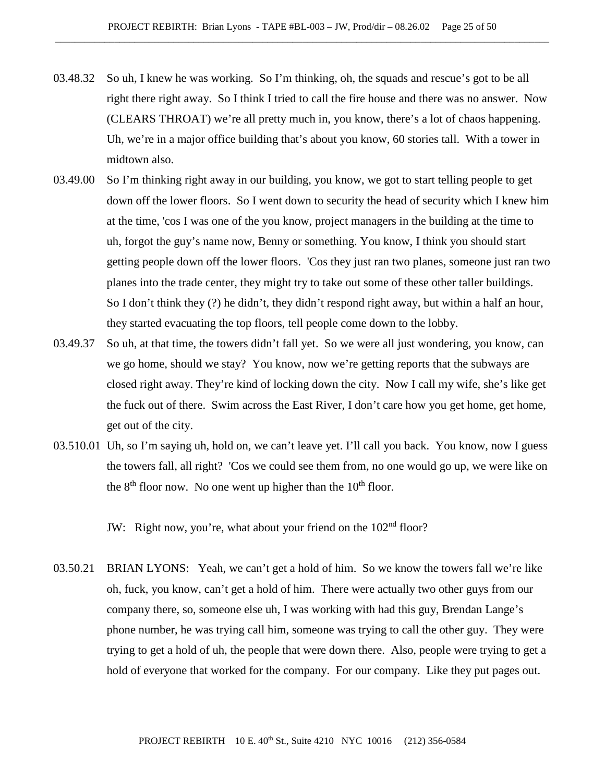- 03.48.32 So uh, I knew he was working. So I'm thinking, oh, the squads and rescue's got to be all right there right away. So I think I tried to call the fire house and there was no answer. Now (CLEARS THROAT) we're all pretty much in, you know, there's a lot of chaos happening. Uh, we're in a major office building that's about you know, 60 stories tall. With a tower in midtown also.
- 03.49.00 So I'm thinking right away in our building, you know, we got to start telling people to get down off the lower floors. So I went down to security the head of security which I knew him at the time, 'cos I was one of the you know, project managers in the building at the time to uh, forgot the guy's name now, Benny or something. You know, I think you should start getting people down off the lower floors. 'Cos they just ran two planes, someone just ran two planes into the trade center, they might try to take out some of these other taller buildings. So I don't think they (?) he didn't, they didn't respond right away, but within a half an hour, they started evacuating the top floors, tell people come down to the lobby.
- 03.49.37 So uh, at that time, the towers didn't fall yet. So we were all just wondering, you know, can we go home, should we stay? You know, now we're getting reports that the subways are closed right away. They're kind of locking down the city. Now I call my wife, she's like get the fuck out of there. Swim across the East River, I don't care how you get home, get home, get out of the city.
- 03.510.01 Uh, so I'm saying uh, hold on, we can't leave yet. I'll call you back. You know, now I guess the towers fall, all right? 'Cos we could see them from, no one would go up, we were like on the  $8<sup>th</sup>$  floor now. No one went up higher than the  $10<sup>th</sup>$  floor.

JW: Right now, you're, what about your friend on the 102<sup>nd</sup> floor?

03.50.21 BRIAN LYONS: Yeah, we can't get a hold of him. So we know the towers fall we're like oh, fuck, you know, can't get a hold of him. There were actually two other guys from our company there, so, someone else uh, I was working with had this guy, Brendan Lange's phone number, he was trying call him, someone was trying to call the other guy. They were trying to get a hold of uh, the people that were down there. Also, people were trying to get a hold of everyone that worked for the company. For our company. Like they put pages out.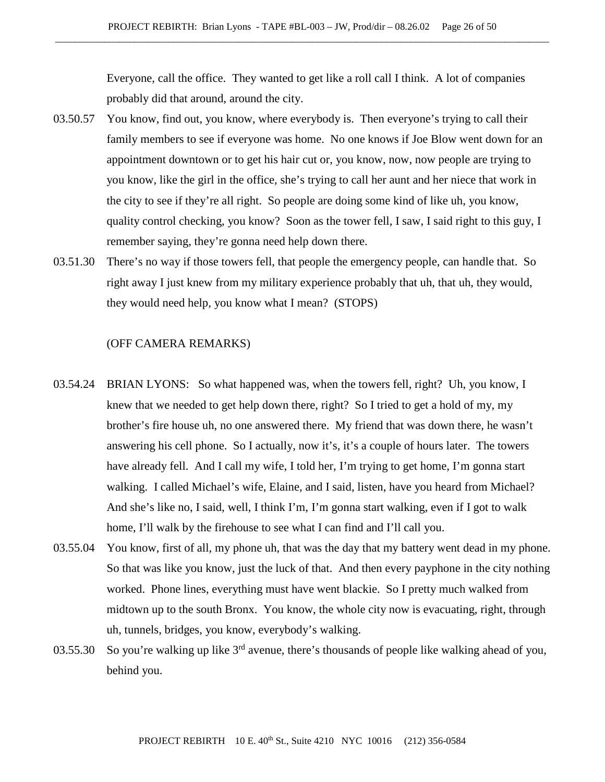Everyone, call the office. They wanted to get like a roll call I think. A lot of companies probably did that around, around the city.

- 03.50.57 You know, find out, you know, where everybody is. Then everyone's trying to call their family members to see if everyone was home. No one knows if Joe Blow went down for an appointment downtown or to get his hair cut or, you know, now, now people are trying to you know, like the girl in the office, she's trying to call her aunt and her niece that work in the city to see if they're all right. So people are doing some kind of like uh, you know, quality control checking, you know? Soon as the tower fell, I saw, I said right to this guy, I remember saying, they're gonna need help down there.
- 03.51.30 There's no way if those towers fell, that people the emergency people, can handle that. So right away I just knew from my military experience probably that uh, that uh, they would, they would need help, you know what I mean? (STOPS)

- 03.54.24 BRIAN LYONS: So what happened was, when the towers fell, right? Uh, you know, I knew that we needed to get help down there, right? So I tried to get a hold of my, my brother's fire house uh, no one answered there. My friend that was down there, he wasn't answering his cell phone. So I actually, now it's, it's a couple of hours later. The towers have already fell. And I call my wife, I told her, I'm trying to get home, I'm gonna start walking. I called Michael's wife, Elaine, and I said, listen, have you heard from Michael? And she's like no, I said, well, I think I'm, I'm gonna start walking, even if I got to walk home, I'll walk by the firehouse to see what I can find and I'll call you.
- 03.55.04 You know, first of all, my phone uh, that was the day that my battery went dead in my phone. So that was like you know, just the luck of that. And then every payphone in the city nothing worked. Phone lines, everything must have went blackie. So I pretty much walked from midtown up to the south Bronx. You know, the whole city now is evacuating, right, through uh, tunnels, bridges, you know, everybody's walking.
- 03.55.30 So you're walking up like  $3<sup>rd</sup>$  avenue, there's thousands of people like walking ahead of you, behind you.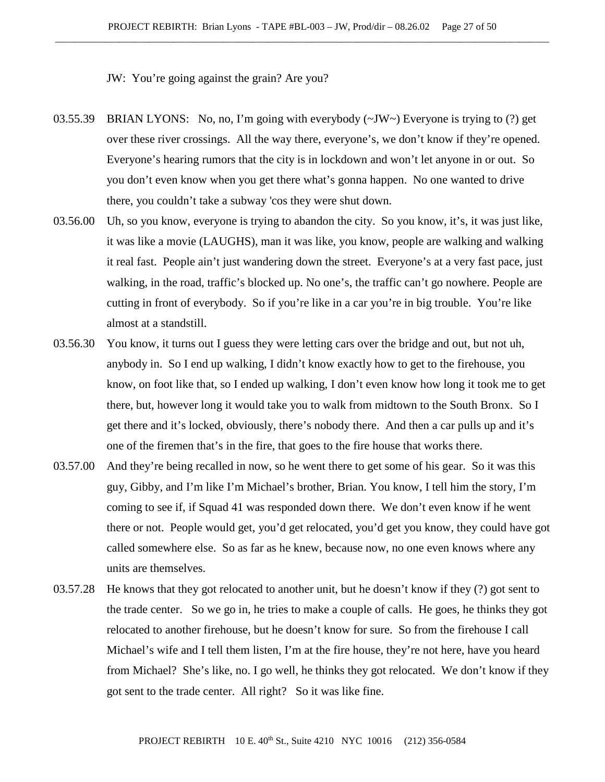JW: You're going against the grain? Are you?

- 03.55.39 BRIAN LYONS: No, no, I'm going with everybody (~JW~) Everyone is trying to (?) get over these river crossings. All the way there, everyone's, we don't know if they're opened. Everyone's hearing rumors that the city is in lockdown and won't let anyone in or out. So you don't even know when you get there what's gonna happen. No one wanted to drive there, you couldn't take a subway 'cos they were shut down.
- 03.56.00 Uh, so you know, everyone is trying to abandon the city. So you know, it's, it was just like, it was like a movie (LAUGHS), man it was like, you know, people are walking and walking it real fast. People ain't just wandering down the street. Everyone's at a very fast pace, just walking, in the road, traffic's blocked up. No one's, the traffic can't go nowhere. People are cutting in front of everybody. So if you're like in a car you're in big trouble. You're like almost at a standstill.
- 03.56.30 You know, it turns out I guess they were letting cars over the bridge and out, but not uh, anybody in. So I end up walking, I didn't know exactly how to get to the firehouse, you know, on foot like that, so I ended up walking, I don't even know how long it took me to get there, but, however long it would take you to walk from midtown to the South Bronx. So I get there and it's locked, obviously, there's nobody there. And then a car pulls up and it's one of the firemen that's in the fire, that goes to the fire house that works there.
- 03.57.00 And they're being recalled in now, so he went there to get some of his gear. So it was this guy, Gibby, and I'm like I'm Michael's brother, Brian. You know, I tell him the story, I'm coming to see if, if Squad 41 was responded down there. We don't even know if he went there or not. People would get, you'd get relocated, you'd get you know, they could have got called somewhere else. So as far as he knew, because now, no one even knows where any units are themselves.
- 03.57.28 He knows that they got relocated to another unit, but he doesn't know if they (?) got sent to the trade center. So we go in, he tries to make a couple of calls. He goes, he thinks they got relocated to another firehouse, but he doesn't know for sure. So from the firehouse I call Michael's wife and I tell them listen, I'm at the fire house, they're not here, have you heard from Michael? She's like, no. I go well, he thinks they got relocated. We don't know if they got sent to the trade center. All right? So it was like fine.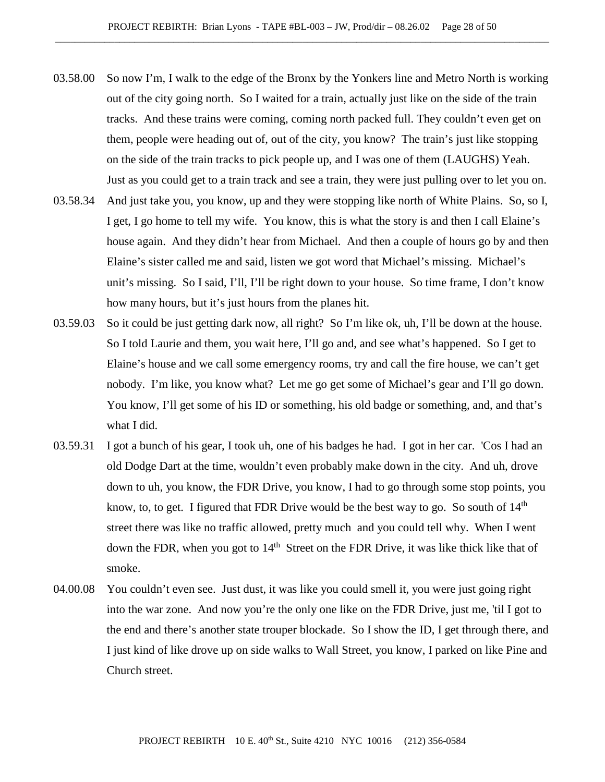- 03.58.00 So now I'm, I walk to the edge of the Bronx by the Yonkers line and Metro North is working out of the city going north. So I waited for a train, actually just like on the side of the train tracks. And these trains were coming, coming north packed full. They couldn't even get on them, people were heading out of, out of the city, you know? The train's just like stopping on the side of the train tracks to pick people up, and I was one of them (LAUGHS) Yeah. Just as you could get to a train track and see a train, they were just pulling over to let you on.
- 03.58.34 And just take you, you know, up and they were stopping like north of White Plains. So, so I, I get, I go home to tell my wife. You know, this is what the story is and then I call Elaine's house again. And they didn't hear from Michael. And then a couple of hours go by and then Elaine's sister called me and said, listen we got word that Michael's missing. Michael's unit's missing. So I said, I'll, I'll be right down to your house. So time frame, I don't know how many hours, but it's just hours from the planes hit.
- 03.59.03 So it could be just getting dark now, all right? So I'm like ok, uh, I'll be down at the house. So I told Laurie and them, you wait here, I'll go and, and see what's happened. So I get to Elaine's house and we call some emergency rooms, try and call the fire house, we can't get nobody. I'm like, you know what? Let me go get some of Michael's gear and I'll go down. You know, I'll get some of his ID or something, his old badge or something, and, and that's what I did.
- 03.59.31 I got a bunch of his gear, I took uh, one of his badges he had. I got in her car. 'Cos I had an old Dodge Dart at the time, wouldn't even probably make down in the city. And uh, drove down to uh, you know, the FDR Drive, you know, I had to go through some stop points, you know, to, to get. I figured that FDR Drive would be the best way to go. So south of  $14<sup>th</sup>$ street there was like no traffic allowed, pretty much and you could tell why. When I went down the FDR, when you got to  $14<sup>th</sup>$  Street on the FDR Drive, it was like thick like that of smoke.
- 04.00.08 You couldn't even see. Just dust, it was like you could smell it, you were just going right into the war zone. And now you're the only one like on the FDR Drive, just me, 'til I got to the end and there's another state trouper blockade. So I show the ID, I get through there, and I just kind of like drove up on side walks to Wall Street, you know, I parked on like Pine and Church street.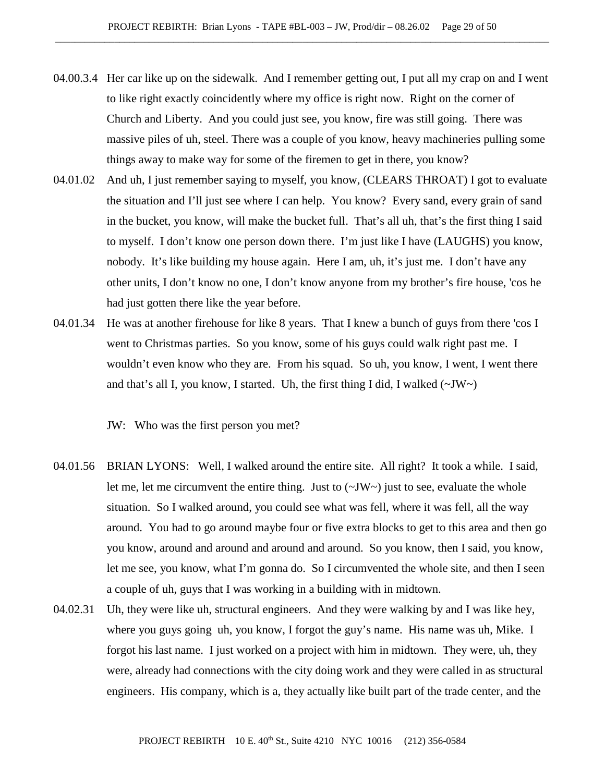- 04.00.3.4 Her car like up on the sidewalk. And I remember getting out, I put all my crap on and I went to like right exactly coincidently where my office is right now. Right on the corner of Church and Liberty. And you could just see, you know, fire was still going. There was massive piles of uh, steel. There was a couple of you know, heavy machineries pulling some things away to make way for some of the firemen to get in there, you know?
- 04.01.02 And uh, I just remember saying to myself, you know, (CLEARS THROAT) I got to evaluate the situation and I'll just see where I can help. You know? Every sand, every grain of sand in the bucket, you know, will make the bucket full. That's all uh, that's the first thing I said to myself. I don't know one person down there. I'm just like I have (LAUGHS) you know, nobody. It's like building my house again. Here I am, uh, it's just me. I don't have any other units, I don't know no one, I don't know anyone from my brother's fire house, 'cos he had just gotten there like the year before.
- 04.01.34 He was at another firehouse for like 8 years. That I knew a bunch of guys from there 'cos I went to Christmas parties. So you know, some of his guys could walk right past me. I wouldn't even know who they are. From his squad. So uh, you know, I went, I went there and that's all I, you know, I started. Uh, the first thing I did, I walked  $(\sim JW)$

JW: Who was the first person you met?

- 04.01.56 BRIAN LYONS: Well, I walked around the entire site. All right? It took a while. I said, let me, let me circumvent the entire thing. Just to  $(\sim JW)$  just to see, evaluate the whole situation. So I walked around, you could see what was fell, where it was fell, all the way around. You had to go around maybe four or five extra blocks to get to this area and then go you know, around and around and around and around. So you know, then I said, you know, let me see, you know, what I'm gonna do. So I circumvented the whole site, and then I seen a couple of uh, guys that I was working in a building with in midtown.
- 04.02.31 Uh, they were like uh, structural engineers. And they were walking by and I was like hey, where you guys going uh, you know, I forgot the guy's name. His name was uh, Mike. I forgot his last name. I just worked on a project with him in midtown. They were, uh, they were, already had connections with the city doing work and they were called in as structural engineers. His company, which is a, they actually like built part of the trade center, and the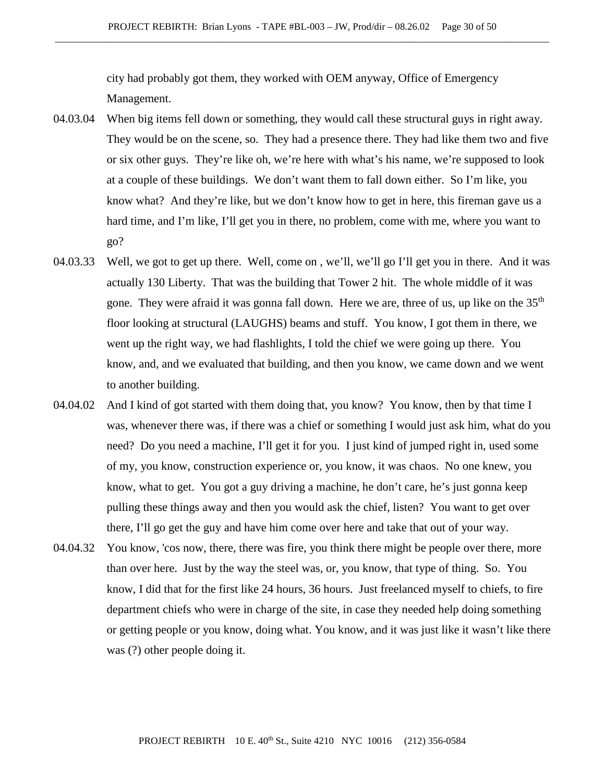city had probably got them, they worked with OEM anyway, Office of Emergency Management.

- 04.03.04 When big items fell down or something, they would call these structural guys in right away. They would be on the scene, so. They had a presence there. They had like them two and five or six other guys. They're like oh, we're here with what's his name, we're supposed to look at a couple of these buildings. We don't want them to fall down either. So I'm like, you know what? And they're like, but we don't know how to get in here, this fireman gave us a hard time, and I'm like, I'll get you in there, no problem, come with me, where you want to go?
- 04.03.33 Well, we got to get up there. Well, come on , we'll, we'll go I'll get you in there. And it was actually 130 Liberty. That was the building that Tower 2 hit. The whole middle of it was gone. They were afraid it was gonna fall down. Here we are, three of us, up like on the  $35<sup>th</sup>$ floor looking at structural (LAUGHS) beams and stuff. You know, I got them in there, we went up the right way, we had flashlights, I told the chief we were going up there. You know, and, and we evaluated that building, and then you know, we came down and we went to another building.
- 04.04.02 And I kind of got started with them doing that, you know? You know, then by that time I was, whenever there was, if there was a chief or something I would just ask him, what do you need? Do you need a machine, I'll get it for you. I just kind of jumped right in, used some of my, you know, construction experience or, you know, it was chaos. No one knew, you know, what to get. You got a guy driving a machine, he don't care, he's just gonna keep pulling these things away and then you would ask the chief, listen? You want to get over there, I'll go get the guy and have him come over here and take that out of your way.
- 04.04.32 You know, 'cos now, there, there was fire, you think there might be people over there, more than over here. Just by the way the steel was, or, you know, that type of thing. So. You know, I did that for the first like 24 hours, 36 hours. Just freelanced myself to chiefs, to fire department chiefs who were in charge of the site, in case they needed help doing something or getting people or you know, doing what. You know, and it was just like it wasn't like there was (?) other people doing it.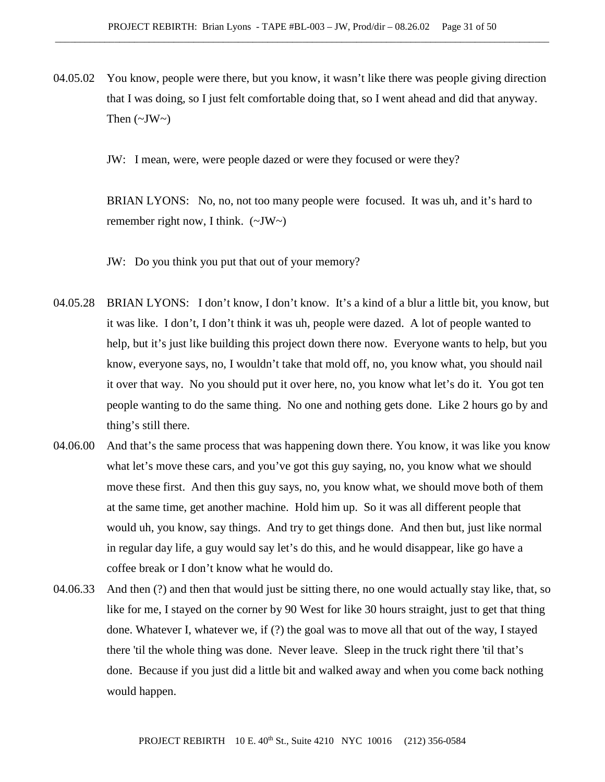04.05.02 You know, people were there, but you know, it wasn't like there was people giving direction that I was doing, so I just felt comfortable doing that, so I went ahead and did that anyway. Then  $(\sim JW \sim)$ 

JW: I mean, were, were people dazed or were they focused or were they?

BRIAN LYONS: No, no, not too many people were focused. It was uh, and it's hard to remember right now, I think.  $(\sim JW \sim)$ 

JW: Do you think you put that out of your memory?

- 04.05.28 BRIAN LYONS: I don't know, I don't know. It's a kind of a blur a little bit, you know, but it was like. I don't, I don't think it was uh, people were dazed. A lot of people wanted to help, but it's just like building this project down there now. Everyone wants to help, but you know, everyone says, no, I wouldn't take that mold off, no, you know what, you should nail it over that way. No you should put it over here, no, you know what let's do it. You got ten people wanting to do the same thing. No one and nothing gets done. Like 2 hours go by and thing's still there.
- 04.06.00 And that's the same process that was happening down there. You know, it was like you know what let's move these cars, and you've got this guy saying, no, you know what we should move these first. And then this guy says, no, you know what, we should move both of them at the same time, get another machine. Hold him up. So it was all different people that would uh, you know, say things. And try to get things done. And then but, just like normal in regular day life, a guy would say let's do this, and he would disappear, like go have a coffee break or I don't know what he would do.
- 04.06.33 And then (?) and then that would just be sitting there, no one would actually stay like, that, so like for me, I stayed on the corner by 90 West for like 30 hours straight, just to get that thing done. Whatever I, whatever we, if (?) the goal was to move all that out of the way, I stayed there 'til the whole thing was done. Never leave. Sleep in the truck right there 'til that's done. Because if you just did a little bit and walked away and when you come back nothing would happen.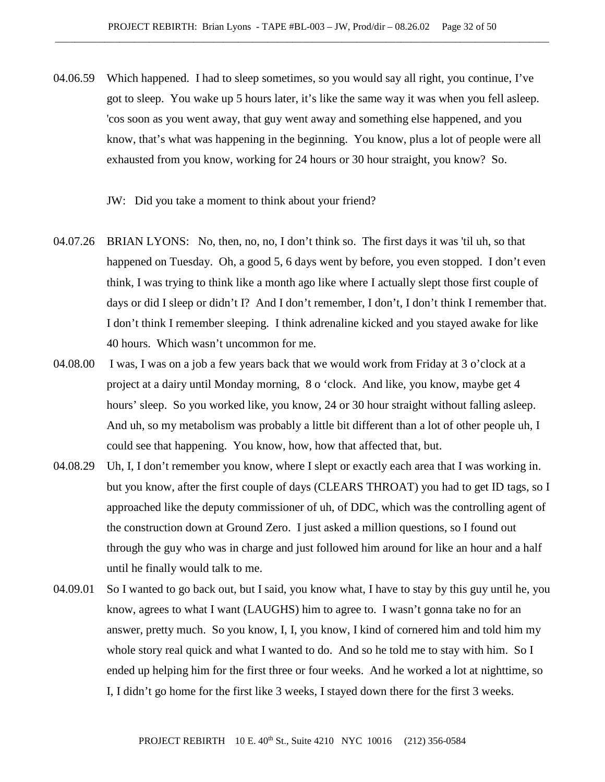04.06.59 Which happened. I had to sleep sometimes, so you would say all right, you continue, I've got to sleep. You wake up 5 hours later, it's like the same way it was when you fell asleep. 'cos soon as you went away, that guy went away and something else happened, and you know, that's what was happening in the beginning. You know, plus a lot of people were all exhausted from you know, working for 24 hours or 30 hour straight, you know? So.

JW: Did you take a moment to think about your friend?

- 04.07.26 BRIAN LYONS: No, then, no, no, I don't think so. The first days it was 'til uh, so that happened on Tuesday. Oh, a good 5, 6 days went by before, you even stopped. I don't even think, I was trying to think like a month ago like where I actually slept those first couple of days or did I sleep or didn't I? And I don't remember, I don't, I don't think I remember that. I don't think I remember sleeping. I think adrenaline kicked and you stayed awake for like 40 hours. Which wasn't uncommon for me.
- 04.08.00 I was, I was on a job a few years back that we would work from Friday at 3 o'clock at a project at a dairy until Monday morning, 8 o 'clock. And like, you know, maybe get 4 hours' sleep. So you worked like, you know, 24 or 30 hour straight without falling asleep. And uh, so my metabolism was probably a little bit different than a lot of other people uh, I could see that happening. You know, how, how that affected that, but.
- 04.08.29 Uh, I, I don't remember you know, where I slept or exactly each area that I was working in. but you know, after the first couple of days (CLEARS THROAT) you had to get ID tags, so I approached like the deputy commissioner of uh, of DDC, which was the controlling agent of the construction down at Ground Zero. I just asked a million questions, so I found out through the guy who was in charge and just followed him around for like an hour and a half until he finally would talk to me.
- 04.09.01 So I wanted to go back out, but I said, you know what, I have to stay by this guy until he, you know, agrees to what I want (LAUGHS) him to agree to. I wasn't gonna take no for an answer, pretty much. So you know, I, I, you know, I kind of cornered him and told him my whole story real quick and what I wanted to do. And so he told me to stay with him. So I ended up helping him for the first three or four weeks. And he worked a lot at nighttime, so I, I didn't go home for the first like 3 weeks, I stayed down there for the first 3 weeks.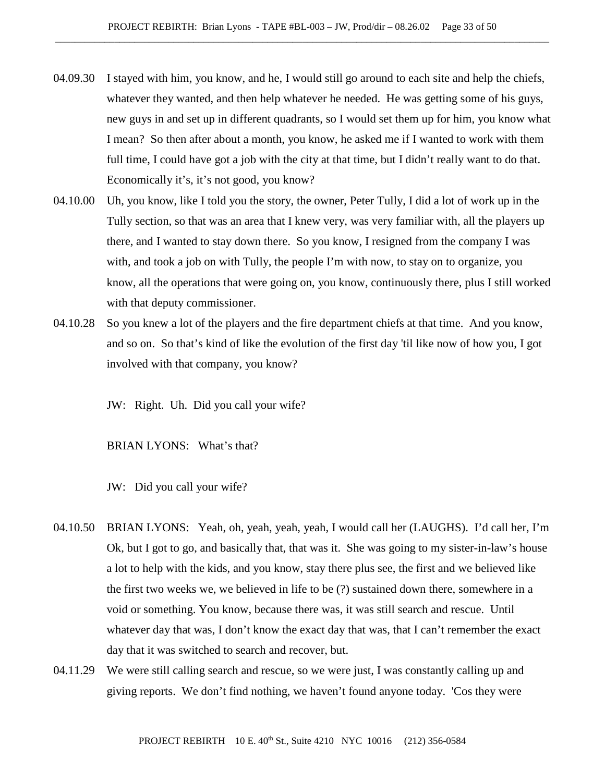- 04.09.30 I stayed with him, you know, and he, I would still go around to each site and help the chiefs, whatever they wanted, and then help whatever he needed. He was getting some of his guys, new guys in and set up in different quadrants, so I would set them up for him, you know what I mean? So then after about a month, you know, he asked me if I wanted to work with them full time, I could have got a job with the city at that time, but I didn't really want to do that. Economically it's, it's not good, you know?
- 04.10.00 Uh, you know, like I told you the story, the owner, Peter Tully, I did a lot of work up in the Tully section, so that was an area that I knew very, was very familiar with, all the players up there, and I wanted to stay down there. So you know, I resigned from the company I was with, and took a job on with Tully, the people I'm with now, to stay on to organize, you know, all the operations that were going on, you know, continuously there, plus I still worked with that deputy commissioner.
- 04.10.28 So you knew a lot of the players and the fire department chiefs at that time. And you know, and so on. So that's kind of like the evolution of the first day 'til like now of how you, I got involved with that company, you know?

JW: Right. Uh. Did you call your wife?

BRIAN LYONS: What's that?

JW: Did you call your wife?

- 04.10.50 BRIAN LYONS: Yeah, oh, yeah, yeah, yeah, I would call her (LAUGHS). I'd call her, I'm Ok, but I got to go, and basically that, that was it. She was going to my sister-in-law's house a lot to help with the kids, and you know, stay there plus see, the first and we believed like the first two weeks we, we believed in life to be (?) sustained down there, somewhere in a void or something. You know, because there was, it was still search and rescue. Until whatever day that was, I don't know the exact day that was, that I can't remember the exact day that it was switched to search and recover, but.
- 04.11.29 We were still calling search and rescue, so we were just, I was constantly calling up and giving reports. We don't find nothing, we haven't found anyone today. 'Cos they were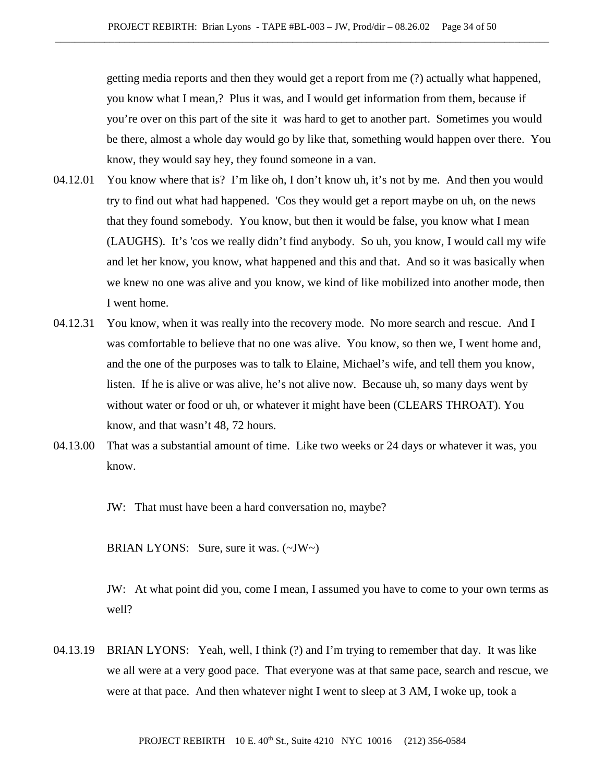getting media reports and then they would get a report from me (?) actually what happened, you know what I mean,? Plus it was, and I would get information from them, because if you're over on this part of the site it was hard to get to another part. Sometimes you would be there, almost a whole day would go by like that, something would happen over there. You know, they would say hey, they found someone in a van.

- 04.12.01 You know where that is? I'm like oh, I don't know uh, it's not by me. And then you would try to find out what had happened. 'Cos they would get a report maybe on uh, on the news that they found somebody. You know, but then it would be false, you know what I mean (LAUGHS). It's 'cos we really didn't find anybody. So uh, you know, I would call my wife and let her know, you know, what happened and this and that. And so it was basically when we knew no one was alive and you know, we kind of like mobilized into another mode, then I went home.
- 04.12.31 You know, when it was really into the recovery mode. No more search and rescue. And I was comfortable to believe that no one was alive. You know, so then we, I went home and, and the one of the purposes was to talk to Elaine, Michael's wife, and tell them you know, listen. If he is alive or was alive, he's not alive now. Because uh, so many days went by without water or food or uh, or whatever it might have been (CLEARS THROAT). You know, and that wasn't 48, 72 hours.
- 04.13.00 That was a substantial amount of time. Like two weeks or 24 days or whatever it was, you know.

JW: That must have been a hard conversation no, maybe?

BRIAN LYONS: Sure, sure it was. (~JW~)

JW: At what point did you, come I mean, I assumed you have to come to your own terms as well?

04.13.19 BRIAN LYONS: Yeah, well, I think (?) and I'm trying to remember that day. It was like we all were at a very good pace. That everyone was at that same pace, search and rescue, we were at that pace. And then whatever night I went to sleep at 3 AM, I woke up, took a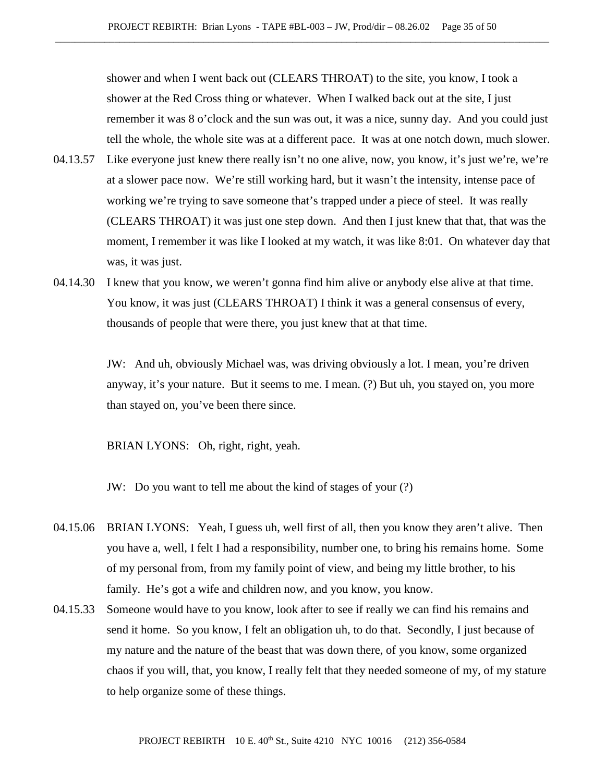shower and when I went back out (CLEARS THROAT) to the site, you know, I took a shower at the Red Cross thing or whatever. When I walked back out at the site, I just remember it was 8 o'clock and the sun was out, it was a nice, sunny day. And you could just tell the whole, the whole site was at a different pace. It was at one notch down, much slower.

- 04.13.57 Like everyone just knew there really isn't no one alive, now, you know, it's just we're, we're at a slower pace now. We're still working hard, but it wasn't the intensity, intense pace of working we're trying to save someone that's trapped under a piece of steel. It was really (CLEARS THROAT) it was just one step down. And then I just knew that that, that was the moment, I remember it was like I looked at my watch, it was like 8:01. On whatever day that was, it was just.
- 04.14.30 I knew that you know, we weren't gonna find him alive or anybody else alive at that time. You know, it was just (CLEARS THROAT) I think it was a general consensus of every, thousands of people that were there, you just knew that at that time.

JW: And uh, obviously Michael was, was driving obviously a lot. I mean, you're driven anyway, it's your nature. But it seems to me. I mean. (?) But uh, you stayed on, you more than stayed on, you've been there since.

BRIAN LYONS: Oh, right, right, yeah.

JW: Do you want to tell me about the kind of stages of your (?)

- 04.15.06 BRIAN LYONS: Yeah, I guess uh, well first of all, then you know they aren't alive. Then you have a, well, I felt I had a responsibility, number one, to bring his remains home. Some of my personal from, from my family point of view, and being my little brother, to his family. He's got a wife and children now, and you know, you know.
- 04.15.33 Someone would have to you know, look after to see if really we can find his remains and send it home. So you know, I felt an obligation uh, to do that. Secondly, I just because of my nature and the nature of the beast that was down there, of you know, some organized chaos if you will, that, you know, I really felt that they needed someone of my, of my stature to help organize some of these things.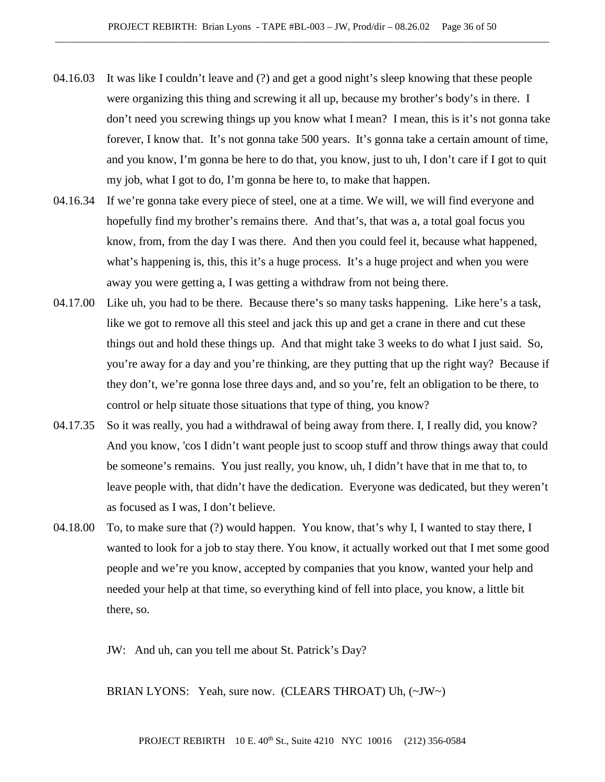- 04.16.03 It was like I couldn't leave and (?) and get a good night's sleep knowing that these people were organizing this thing and screwing it all up, because my brother's body's in there. I don't need you screwing things up you know what I mean? I mean, this is it's not gonna take forever, I know that. It's not gonna take 500 years. It's gonna take a certain amount of time, and you know, I'm gonna be here to do that, you know, just to uh, I don't care if I got to quit my job, what I got to do, I'm gonna be here to, to make that happen.
- 04.16.34 If we're gonna take every piece of steel, one at a time. We will, we will find everyone and hopefully find my brother's remains there. And that's, that was a, a total goal focus you know, from, from the day I was there. And then you could feel it, because what happened, what's happening is, this, this it's a huge process. It's a huge project and when you were away you were getting a, I was getting a withdraw from not being there.
- 04.17.00 Like uh, you had to be there. Because there's so many tasks happening. Like here's a task, like we got to remove all this steel and jack this up and get a crane in there and cut these things out and hold these things up. And that might take 3 weeks to do what I just said. So, you're away for a day and you're thinking, are they putting that up the right way? Because if they don't, we're gonna lose three days and, and so you're, felt an obligation to be there, to control or help situate those situations that type of thing, you know?
- 04.17.35 So it was really, you had a withdrawal of being away from there. I, I really did, you know? And you know, 'cos I didn't want people just to scoop stuff and throw things away that could be someone's remains. You just really, you know, uh, I didn't have that in me that to, to leave people with, that didn't have the dedication. Everyone was dedicated, but they weren't as focused as I was, I don't believe.
- 04.18.00 To, to make sure that (?) would happen. You know, that's why I, I wanted to stay there, I wanted to look for a job to stay there. You know, it actually worked out that I met some good people and we're you know, accepted by companies that you know, wanted your help and needed your help at that time, so everything kind of fell into place, you know, a little bit there, so.

JW: And uh, can you tell me about St. Patrick's Day?

BRIAN LYONS: Yeah, sure now. (CLEARS THROAT) Uh, (~JW~)

## PROJECT REBIRTH 10 E. 40th St., Suite 4210 NYC 10016 (212) 356-0584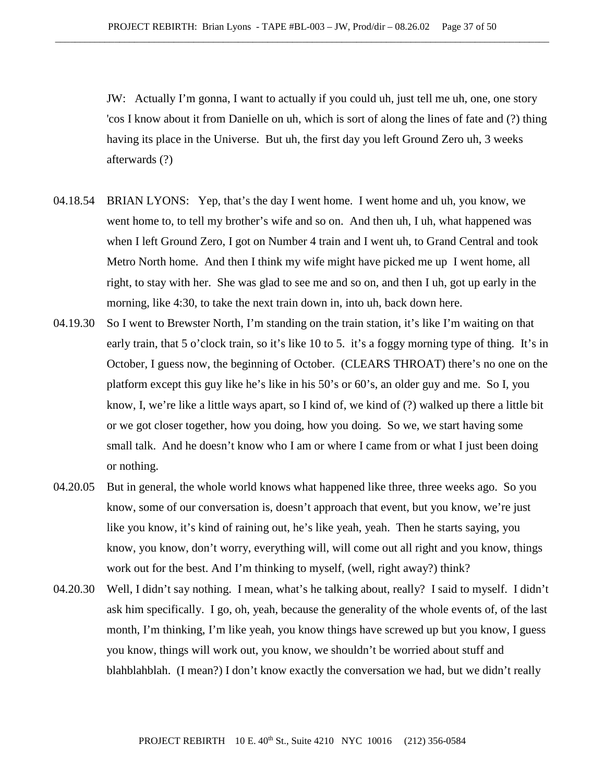JW: Actually I'm gonna, I want to actually if you could uh, just tell me uh, one, one story 'cos I know about it from Danielle on uh, which is sort of along the lines of fate and (?) thing having its place in the Universe. But uh, the first day you left Ground Zero uh, 3 weeks afterwards (?)

- 04.18.54 BRIAN LYONS: Yep, that's the day I went home. I went home and uh, you know, we went home to, to tell my brother's wife and so on. And then uh, I uh, what happened was when I left Ground Zero, I got on Number 4 train and I went uh, to Grand Central and took Metro North home. And then I think my wife might have picked me up I went home, all right, to stay with her. She was glad to see me and so on, and then I uh, got up early in the morning, like 4:30, to take the next train down in, into uh, back down here.
- 04.19.30 So I went to Brewster North, I'm standing on the train station, it's like I'm waiting on that early train, that 5 o'clock train, so it's like 10 to 5. it's a foggy morning type of thing. It's in October, I guess now, the beginning of October. (CLEARS THROAT) there's no one on the platform except this guy like he's like in his 50's or 60's, an older guy and me. So I, you know, I, we're like a little ways apart, so I kind of, we kind of (?) walked up there a little bit or we got closer together, how you doing, how you doing. So we, we start having some small talk. And he doesn't know who I am or where I came from or what I just been doing or nothing.
- 04.20.05 But in general, the whole world knows what happened like three, three weeks ago. So you know, some of our conversation is, doesn't approach that event, but you know, we're just like you know, it's kind of raining out, he's like yeah, yeah. Then he starts saying, you know, you know, don't worry, everything will, will come out all right and you know, things work out for the best. And I'm thinking to myself, (well, right away?) think?
- 04.20.30 Well, I didn't say nothing. I mean, what's he talking about, really? I said to myself. I didn't ask him specifically. I go, oh, yeah, because the generality of the whole events of, of the last month, I'm thinking, I'm like yeah, you know things have screwed up but you know, I guess you know, things will work out, you know, we shouldn't be worried about stuff and blahblahblah. (I mean?) I don't know exactly the conversation we had, but we didn't really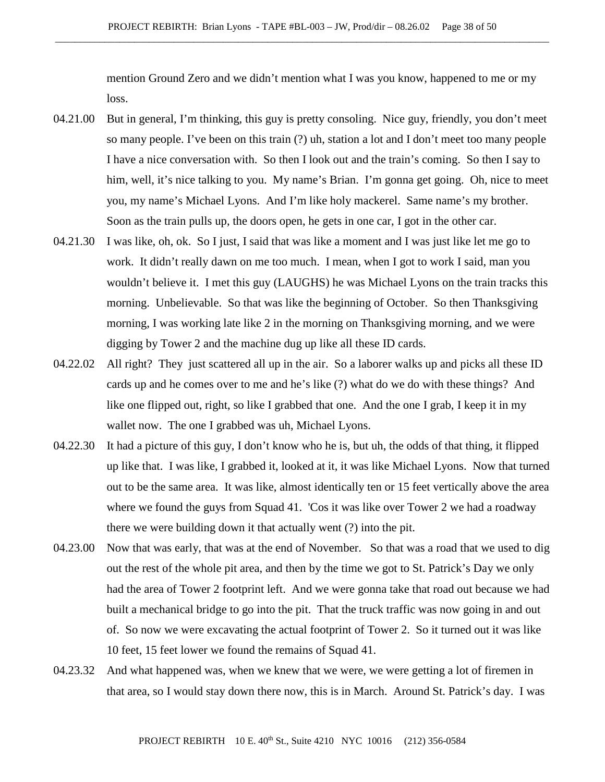mention Ground Zero and we didn't mention what I was you know, happened to me or my loss.

- 04.21.00 But in general, I'm thinking, this guy is pretty consoling. Nice guy, friendly, you don't meet so many people. I've been on this train (?) uh, station a lot and I don't meet too many people I have a nice conversation with. So then I look out and the train's coming. So then I say to him, well, it's nice talking to you. My name's Brian. I'm gonna get going. Oh, nice to meet you, my name's Michael Lyons. And I'm like holy mackerel. Same name's my brother. Soon as the train pulls up, the doors open, he gets in one car, I got in the other car.
- 04.21.30 I was like, oh, ok. So I just, I said that was like a moment and I was just like let me go to work. It didn't really dawn on me too much. I mean, when I got to work I said, man you wouldn't believe it. I met this guy (LAUGHS) he was Michael Lyons on the train tracks this morning. Unbelievable. So that was like the beginning of October. So then Thanksgiving morning, I was working late like 2 in the morning on Thanksgiving morning, and we were digging by Tower 2 and the machine dug up like all these ID cards.
- 04.22.02 All right? They just scattered all up in the air. So a laborer walks up and picks all these ID cards up and he comes over to me and he's like (?) what do we do with these things? And like one flipped out, right, so like I grabbed that one. And the one I grab, I keep it in my wallet now. The one I grabbed was uh, Michael Lyons.
- 04.22.30 It had a picture of this guy, I don't know who he is, but uh, the odds of that thing, it flipped up like that. I was like, I grabbed it, looked at it, it was like Michael Lyons. Now that turned out to be the same area. It was like, almost identically ten or 15 feet vertically above the area where we found the guys from Squad 41. 'Cos it was like over Tower 2 we had a roadway there we were building down it that actually went (?) into the pit.
- 04.23.00 Now that was early, that was at the end of November. So that was a road that we used to dig out the rest of the whole pit area, and then by the time we got to St. Patrick's Day we only had the area of Tower 2 footprint left. And we were gonna take that road out because we had built a mechanical bridge to go into the pit. That the truck traffic was now going in and out of. So now we were excavating the actual footprint of Tower 2. So it turned out it was like 10 feet, 15 feet lower we found the remains of Squad 41.
- 04.23.32 And what happened was, when we knew that we were, we were getting a lot of firemen in that area, so I would stay down there now, this is in March. Around St. Patrick's day. I was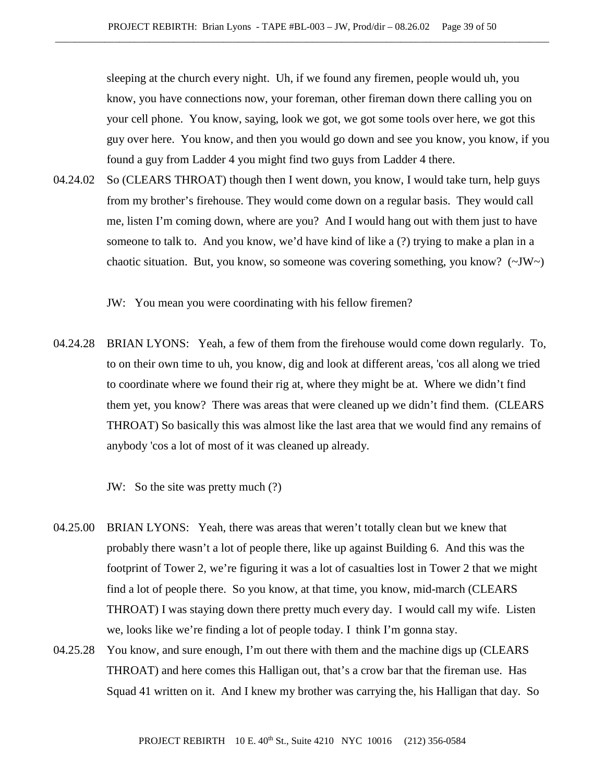sleeping at the church every night. Uh, if we found any firemen, people would uh, you know, you have connections now, your foreman, other fireman down there calling you on your cell phone. You know, saying, look we got, we got some tools over here, we got this guy over here. You know, and then you would go down and see you know, you know, if you found a guy from Ladder 4 you might find two guys from Ladder 4 there.

04.24.02 So (CLEARS THROAT) though then I went down, you know, I would take turn, help guys from my brother's firehouse. They would come down on a regular basis. They would call me, listen I'm coming down, where are you? And I would hang out with them just to have someone to talk to. And you know, we'd have kind of like a (?) trying to make a plan in a chaotic situation. But, you know, so someone was covering something, you know? (~JW~)

JW: You mean you were coordinating with his fellow firemen?

04.24.28 BRIAN LYONS: Yeah, a few of them from the firehouse would come down regularly. To, to on their own time to uh, you know, dig and look at different areas, 'cos all along we tried to coordinate where we found their rig at, where they might be at. Where we didn't find them yet, you know? There was areas that were cleaned up we didn't find them. (CLEARS THROAT) So basically this was almost like the last area that we would find any remains of anybody 'cos a lot of most of it was cleaned up already.

JW: So the site was pretty much (?)

- 04.25.00 BRIAN LYONS: Yeah, there was areas that weren't totally clean but we knew that probably there wasn't a lot of people there, like up against Building 6. And this was the footprint of Tower 2, we're figuring it was a lot of casualties lost in Tower 2 that we might find a lot of people there. So you know, at that time, you know, mid-march (CLEARS THROAT) I was staying down there pretty much every day. I would call my wife. Listen we, looks like we're finding a lot of people today. I think I'm gonna stay.
- 04.25.28 You know, and sure enough, I'm out there with them and the machine digs up (CLEARS THROAT) and here comes this Halligan out, that's a crow bar that the fireman use. Has Squad 41 written on it. And I knew my brother was carrying the, his Halligan that day. So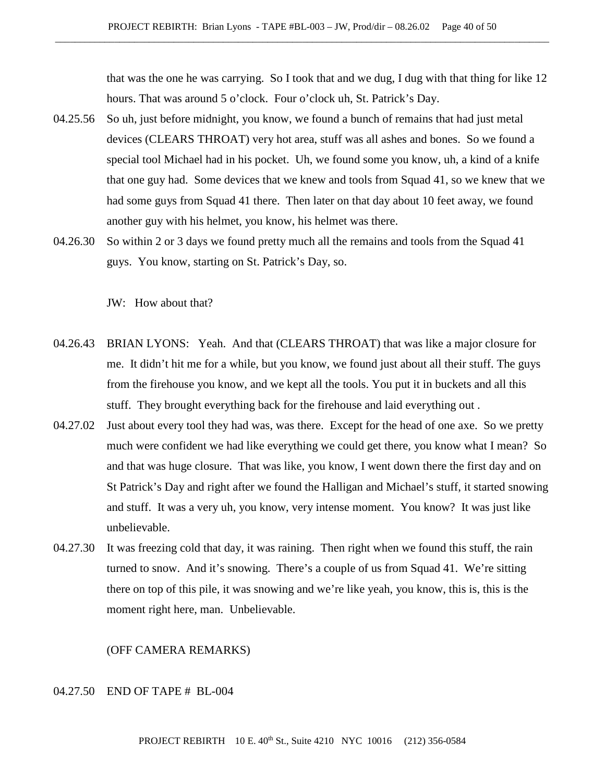that was the one he was carrying. So I took that and we dug, I dug with that thing for like 12 hours. That was around 5 o'clock. Four o'clock uh, St. Patrick's Day.

- 04.25.56 So uh, just before midnight, you know, we found a bunch of remains that had just metal devices (CLEARS THROAT) very hot area, stuff was all ashes and bones. So we found a special tool Michael had in his pocket. Uh, we found some you know, uh, a kind of a knife that one guy had. Some devices that we knew and tools from Squad 41, so we knew that we had some guys from Squad 41 there. Then later on that day about 10 feet away, we found another guy with his helmet, you know, his helmet was there.
- 04.26.30 So within 2 or 3 days we found pretty much all the remains and tools from the Squad 41 guys. You know, starting on St. Patrick's Day, so.

JW: How about that?

- 04.26.43 BRIAN LYONS: Yeah. And that (CLEARS THROAT) that was like a major closure for me. It didn't hit me for a while, but you know, we found just about all their stuff. The guys from the firehouse you know, and we kept all the tools. You put it in buckets and all this stuff. They brought everything back for the firehouse and laid everything out .
- 04.27.02 Just about every tool they had was, was there. Except for the head of one axe. So we pretty much were confident we had like everything we could get there, you know what I mean? So and that was huge closure. That was like, you know, I went down there the first day and on St Patrick's Day and right after we found the Halligan and Michael's stuff, it started snowing and stuff. It was a very uh, you know, very intense moment. You know? It was just like unbelievable.
- 04.27.30 It was freezing cold that day, it was raining. Then right when we found this stuff, the rain turned to snow. And it's snowing. There's a couple of us from Squad 41. We're sitting there on top of this pile, it was snowing and we're like yeah, you know, this is, this is the moment right here, man. Unbelievable.

(OFF CAMERA REMARKS)

### 04.27.50 END OF TAPE # BL-004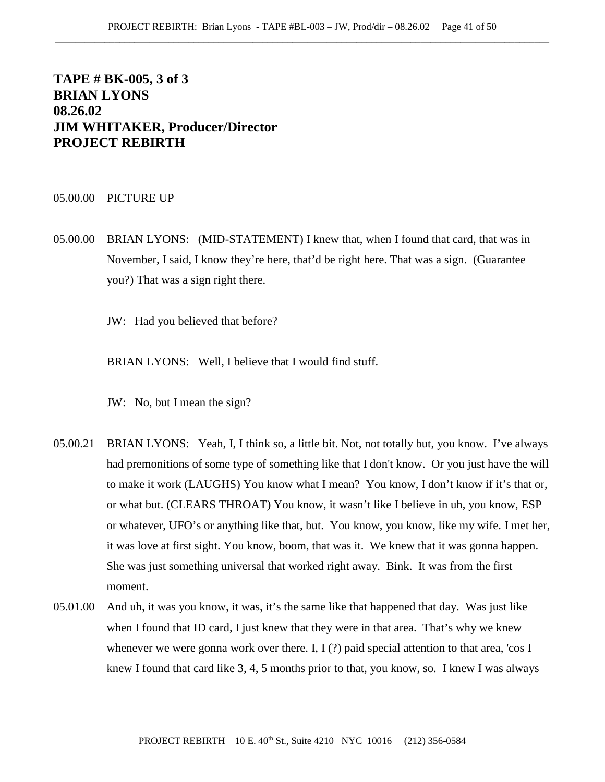# **TAPE # BK-005, 3 of 3 BRIAN LYONS 08.26.02 JIM WHITAKER, Producer/Director PROJECT REBIRTH**

#### 05.00.00 PICTURE UP

05.00.00 BRIAN LYONS: (MID-STATEMENT) I knew that, when I found that card, that was in November, I said, I know they're here, that'd be right here. That was a sign. (Guarantee you?) That was a sign right there.

JW: Had you believed that before?

BRIAN LYONS: Well, I believe that I would find stuff.

JW: No, but I mean the sign?

- 05.00.21 BRIAN LYONS: Yeah, I, I think so, a little bit. Not, not totally but, you know. I've always had premonitions of some type of something like that I don't know. Or you just have the will to make it work (LAUGHS) You know what I mean? You know, I don't know if it's that or, or what but. (CLEARS THROAT) You know, it wasn't like I believe in uh, you know, ESP or whatever, UFO's or anything like that, but. You know, you know, like my wife. I met her, it was love at first sight. You know, boom, that was it. We knew that it was gonna happen. She was just something universal that worked right away. Bink. It was from the first moment.
- 05.01.00 And uh, it was you know, it was, it's the same like that happened that day. Was just like when I found that ID card, I just knew that they were in that area. That's why we knew whenever we were gonna work over there. I, I (?) paid special attention to that area, 'cos I knew I found that card like 3, 4, 5 months prior to that, you know, so. I knew I was always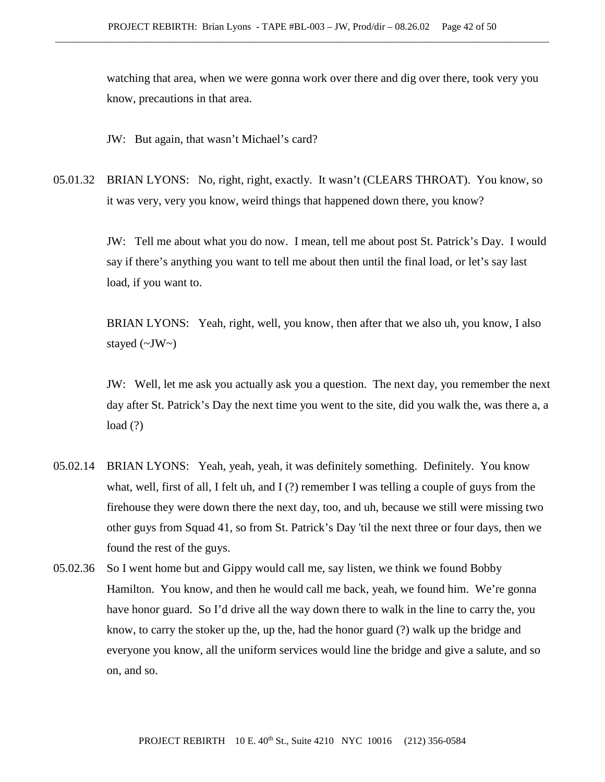watching that area, when we were gonna work over there and dig over there, took very you know, precautions in that area.

JW: But again, that wasn't Michael's card?

05.01.32 BRIAN LYONS: No, right, right, exactly. It wasn't (CLEARS THROAT). You know, so it was very, very you know, weird things that happened down there, you know?

> JW: Tell me about what you do now. I mean, tell me about post St. Patrick's Day. I would say if there's anything you want to tell me about then until the final load, or let's say last load, if you want to.

BRIAN LYONS: Yeah, right, well, you know, then after that we also uh, you know, I also stayed  $(\sim JW)$ 

JW: Well, let me ask you actually ask you a question. The next day, you remember the next day after St. Patrick's Day the next time you went to the site, did you walk the, was there a, a  $load(?)$ 

- 05.02.14 BRIAN LYONS: Yeah, yeah, yeah, it was definitely something. Definitely. You know what, well, first of all, I felt uh, and I (?) remember I was telling a couple of guys from the firehouse they were down there the next day, too, and uh, because we still were missing two other guys from Squad 41, so from St. Patrick's Day 'til the next three or four days, then we found the rest of the guys.
- 05.02.36 So I went home but and Gippy would call me, say listen, we think we found Bobby Hamilton. You know, and then he would call me back, yeah, we found him. We're gonna have honor guard. So I'd drive all the way down there to walk in the line to carry the, you know, to carry the stoker up the, up the, had the honor guard (?) walk up the bridge and everyone you know, all the uniform services would line the bridge and give a salute, and so on, and so.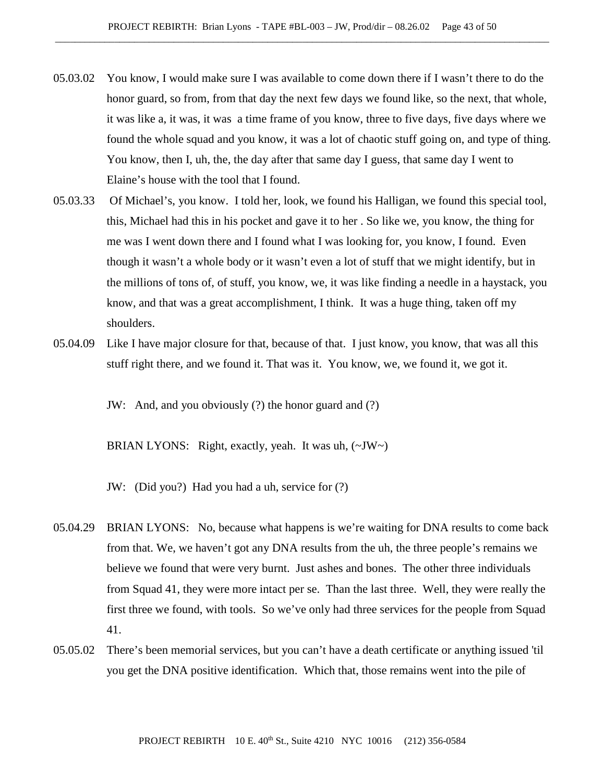- 05.03.02 You know, I would make sure I was available to come down there if I wasn't there to do the honor guard, so from, from that day the next few days we found like, so the next, that whole, it was like a, it was, it was a time frame of you know, three to five days, five days where we found the whole squad and you know, it was a lot of chaotic stuff going on, and type of thing. You know, then I, uh, the, the day after that same day I guess, that same day I went to Elaine's house with the tool that I found.
- 05.03.33 Of Michael's, you know. I told her, look, we found his Halligan, we found this special tool, this, Michael had this in his pocket and gave it to her . So like we, you know, the thing for me was I went down there and I found what I was looking for, you know, I found. Even though it wasn't a whole body or it wasn't even a lot of stuff that we might identify, but in the millions of tons of, of stuff, you know, we, it was like finding a needle in a haystack, you know, and that was a great accomplishment, I think. It was a huge thing, taken off my shoulders.
- 05.04.09 Like I have major closure for that, because of that. I just know, you know, that was all this stuff right there, and we found it. That was it. You know, we, we found it, we got it.

JW: And, and you obviously (?) the honor guard and (?)

BRIAN LYONS: Right, exactly, yeah. It was uh,  $(\sim JW \sim)$ 

JW: (Did you?) Had you had a uh, service for (?)

- 05.04.29 BRIAN LYONS: No, because what happens is we're waiting for DNA results to come back from that. We, we haven't got any DNA results from the uh, the three people's remains we believe we found that were very burnt. Just ashes and bones. The other three individuals from Squad 41, they were more intact per se. Than the last three. Well, they were really the first three we found, with tools. So we've only had three services for the people from Squad 41.
- 05.05.02 There's been memorial services, but you can't have a death certificate or anything issued 'til you get the DNA positive identification. Which that, those remains went into the pile of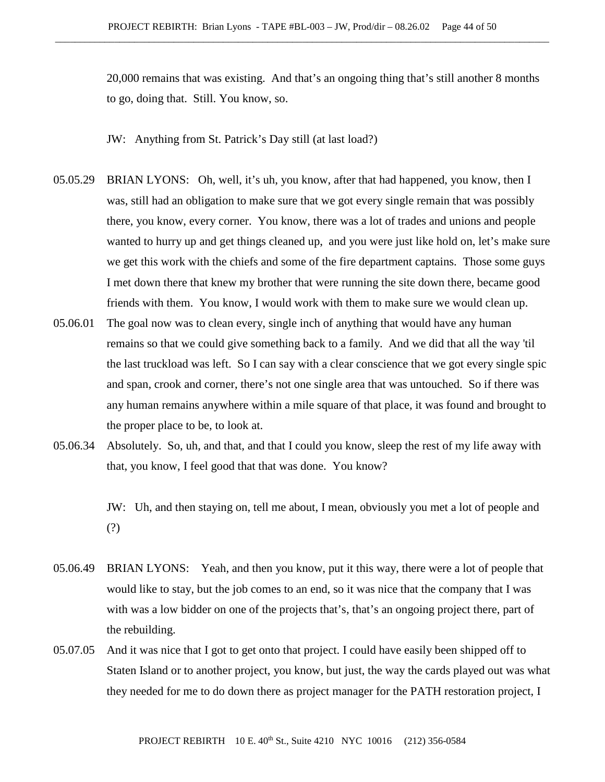20,000 remains that was existing. And that's an ongoing thing that's still another 8 months to go, doing that. Still. You know, so.

JW: Anything from St. Patrick's Day still (at last load?)

- 05.05.29 BRIAN LYONS: Oh, well, it's uh, you know, after that had happened, you know, then I was, still had an obligation to make sure that we got every single remain that was possibly there, you know, every corner. You know, there was a lot of trades and unions and people wanted to hurry up and get things cleaned up, and you were just like hold on, let's make sure we get this work with the chiefs and some of the fire department captains. Those some guys I met down there that knew my brother that were running the site down there, became good friends with them. You know, I would work with them to make sure we would clean up.
- 05.06.01 The goal now was to clean every, single inch of anything that would have any human remains so that we could give something back to a family. And we did that all the way 'til the last truckload was left. So I can say with a clear conscience that we got every single spic and span, crook and corner, there's not one single area that was untouched. So if there was any human remains anywhere within a mile square of that place, it was found and brought to the proper place to be, to look at.
- 05.06.34 Absolutely. So, uh, and that, and that I could you know, sleep the rest of my life away with that, you know, I feel good that that was done. You know?

JW: Uh, and then staying on, tell me about, I mean, obviously you met a lot of people and (?)

- 05.06.49 BRIAN LYONS: Yeah, and then you know, put it this way, there were a lot of people that would like to stay, but the job comes to an end, so it was nice that the company that I was with was a low bidder on one of the projects that's, that's an ongoing project there, part of the rebuilding.
- 05.07.05 And it was nice that I got to get onto that project. I could have easily been shipped off to Staten Island or to another project, you know, but just, the way the cards played out was what they needed for me to do down there as project manager for the PATH restoration project, I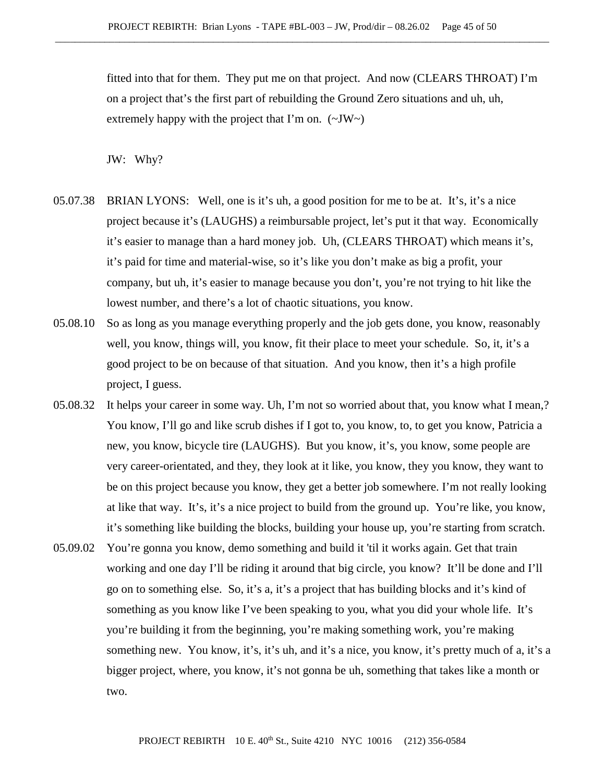fitted into that for them. They put me on that project. And now (CLEARS THROAT) I'm on a project that's the first part of rebuilding the Ground Zero situations and uh, uh, extremely happy with the project that I'm on.  $(\sim JW)$ 

JW: Why?

- 05.07.38 BRIAN LYONS: Well, one is it's uh, a good position for me to be at. It's, it's a nice project because it's (LAUGHS) a reimbursable project, let's put it that way. Economically it's easier to manage than a hard money job. Uh, (CLEARS THROAT) which means it's, it's paid for time and material-wise, so it's like you don't make as big a profit, your company, but uh, it's easier to manage because you don't, you're not trying to hit like the lowest number, and there's a lot of chaotic situations, you know.
- 05.08.10 So as long as you manage everything properly and the job gets done, you know, reasonably well, you know, things will, you know, fit their place to meet your schedule. So, it, it's a good project to be on because of that situation. And you know, then it's a high profile project, I guess.
- 05.08.32 It helps your career in some way. Uh, I'm not so worried about that, you know what I mean,? You know, I'll go and like scrub dishes if I got to, you know, to, to get you know, Patricia a new, you know, bicycle tire (LAUGHS). But you know, it's, you know, some people are very career-orientated, and they, they look at it like, you know, they you know, they want to be on this project because you know, they get a better job somewhere. I'm not really looking at like that way. It's, it's a nice project to build from the ground up. You're like, you know, it's something like building the blocks, building your house up, you're starting from scratch.
- 05.09.02 You're gonna you know, demo something and build it 'til it works again. Get that train working and one day I'll be riding it around that big circle, you know? It'll be done and I'll go on to something else. So, it's a, it's a project that has building blocks and it's kind of something as you know like I've been speaking to you, what you did your whole life. It's you're building it from the beginning, you're making something work, you're making something new. You know, it's, it's uh, and it's a nice, you know, it's pretty much of a, it's a bigger project, where, you know, it's not gonna be uh, something that takes like a month or two.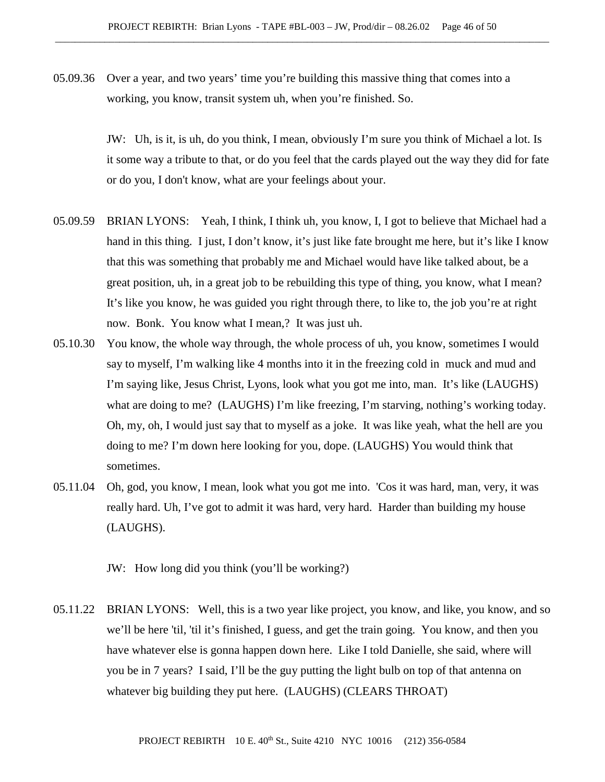05.09.36 Over a year, and two years' time you're building this massive thing that comes into a working, you know, transit system uh, when you're finished. So.

> JW: Uh, is it, is uh, do you think, I mean, obviously I'm sure you think of Michael a lot. Is it some way a tribute to that, or do you feel that the cards played out the way they did for fate or do you, I don't know, what are your feelings about your.

- 05.09.59 BRIAN LYONS: Yeah, I think, I think uh, you know, I, I got to believe that Michael had a hand in this thing. I just, I don't know, it's just like fate brought me here, but it's like I know that this was something that probably me and Michael would have like talked about, be a great position, uh, in a great job to be rebuilding this type of thing, you know, what I mean? It's like you know, he was guided you right through there, to like to, the job you're at right now. Bonk. You know what I mean,? It was just uh.
- 05.10.30 You know, the whole way through, the whole process of uh, you know, sometimes I would say to myself, I'm walking like 4 months into it in the freezing cold in muck and mud and I'm saying like, Jesus Christ, Lyons, look what you got me into, man. It's like (LAUGHS) what are doing to me? (LAUGHS) I'm like freezing, I'm starving, nothing's working today. Oh, my, oh, I would just say that to myself as a joke. It was like yeah, what the hell are you doing to me? I'm down here looking for you, dope. (LAUGHS) You would think that sometimes.
- 05.11.04 Oh, god, you know, I mean, look what you got me into. 'Cos it was hard, man, very, it was really hard. Uh, I've got to admit it was hard, very hard. Harder than building my house (LAUGHS).
	- JW: How long did you think (you'll be working?)
- 05.11.22 BRIAN LYONS: Well, this is a two year like project, you know, and like, you know, and so we'll be here 'til, 'til it's finished, I guess, and get the train going. You know, and then you have whatever else is gonna happen down here. Like I told Danielle, she said, where will you be in 7 years? I said, I'll be the guy putting the light bulb on top of that antenna on whatever big building they put here. (LAUGHS) (CLEARS THROAT)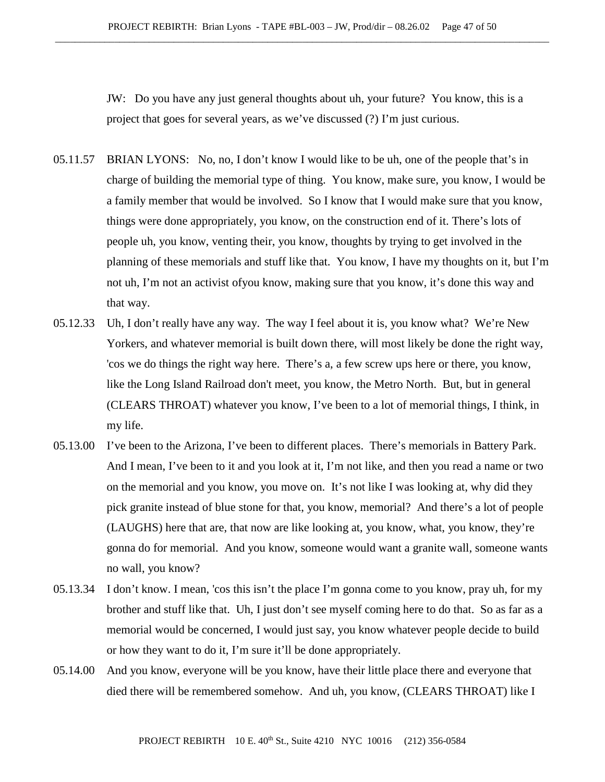JW: Do you have any just general thoughts about uh, your future? You know, this is a project that goes for several years, as we've discussed (?) I'm just curious.

- 05.11.57 BRIAN LYONS: No, no, I don't know I would like to be uh, one of the people that's in charge of building the memorial type of thing. You know, make sure, you know, I would be a family member that would be involved. So I know that I would make sure that you know, things were done appropriately, you know, on the construction end of it. There's lots of people uh, you know, venting their, you know, thoughts by trying to get involved in the planning of these memorials and stuff like that. You know, I have my thoughts on it, but I'm not uh, I'm not an activist ofyou know, making sure that you know, it's done this way and that way.
- 05.12.33 Uh, I don't really have any way. The way I feel about it is, you know what? We're New Yorkers, and whatever memorial is built down there, will most likely be done the right way, 'cos we do things the right way here. There's a, a few screw ups here or there, you know, like the Long Island Railroad don't meet, you know, the Metro North. But, but in general (CLEARS THROAT) whatever you know, I've been to a lot of memorial things, I think, in my life.
- 05.13.00 I've been to the Arizona, I've been to different places. There's memorials in Battery Park. And I mean, I've been to it and you look at it, I'm not like, and then you read a name or two on the memorial and you know, you move on. It's not like I was looking at, why did they pick granite instead of blue stone for that, you know, memorial? And there's a lot of people (LAUGHS) here that are, that now are like looking at, you know, what, you know, they're gonna do for memorial. And you know, someone would want a granite wall, someone wants no wall, you know?
- 05.13.34 I don't know. I mean, 'cos this isn't the place I'm gonna come to you know, pray uh, for my brother and stuff like that. Uh, I just don't see myself coming here to do that. So as far as a memorial would be concerned, I would just say, you know whatever people decide to build or how they want to do it, I'm sure it'll be done appropriately.
- 05.14.00 And you know, everyone will be you know, have their little place there and everyone that died there will be remembered somehow. And uh, you know, (CLEARS THROAT) like I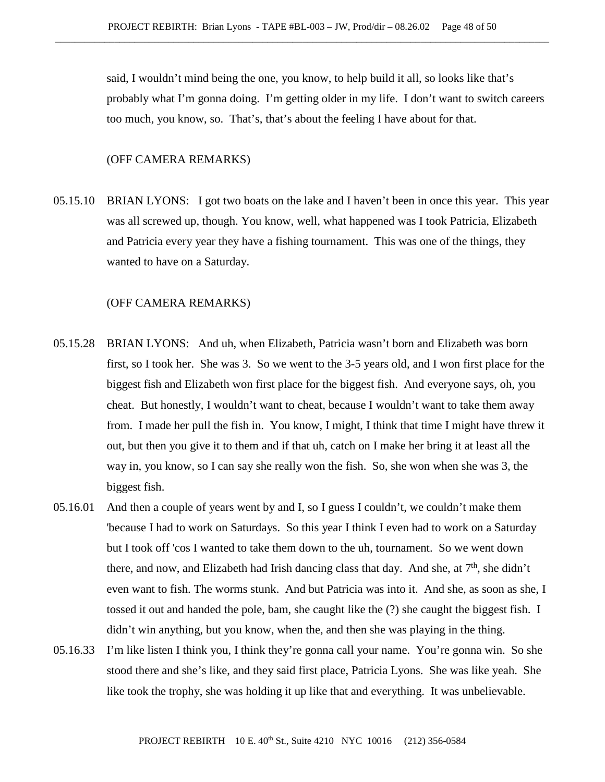said, I wouldn't mind being the one, you know, to help build it all, so looks like that's probably what I'm gonna doing. I'm getting older in my life. I don't want to switch careers too much, you know, so. That's, that's about the feeling I have about for that.

## (OFF CAMERA REMARKS)

05.15.10 BRIAN LYONS: I got two boats on the lake and I haven't been in once this year. This year was all screwed up, though. You know, well, what happened was I took Patricia, Elizabeth and Patricia every year they have a fishing tournament. This was one of the things, they wanted to have on a Saturday.

- 05.15.28 BRIAN LYONS: And uh, when Elizabeth, Patricia wasn't born and Elizabeth was born first, so I took her. She was 3. So we went to the 3-5 years old, and I won first place for the biggest fish and Elizabeth won first place for the biggest fish. And everyone says, oh, you cheat. But honestly, I wouldn't want to cheat, because I wouldn't want to take them away from. I made her pull the fish in. You know, I might, I think that time I might have threw it out, but then you give it to them and if that uh, catch on I make her bring it at least all the way in, you know, so I can say she really won the fish. So, she won when she was 3, the biggest fish.
- 05.16.01 And then a couple of years went by and I, so I guess I couldn't, we couldn't make them 'because I had to work on Saturdays. So this year I think I even had to work on a Saturday but I took off 'cos I wanted to take them down to the uh, tournament. So we went down there, and now, and Elizabeth had Irish dancing class that day. And she, at  $7<sup>th</sup>$ , she didn't even want to fish. The worms stunk. And but Patricia was into it. And she, as soon as she, I tossed it out and handed the pole, bam, she caught like the (?) she caught the biggest fish. I didn't win anything, but you know, when the, and then she was playing in the thing.
- 05.16.33 I'm like listen I think you, I think they're gonna call your name. You're gonna win. So she stood there and she's like, and they said first place, Patricia Lyons. She was like yeah. She like took the trophy, she was holding it up like that and everything. It was unbelievable.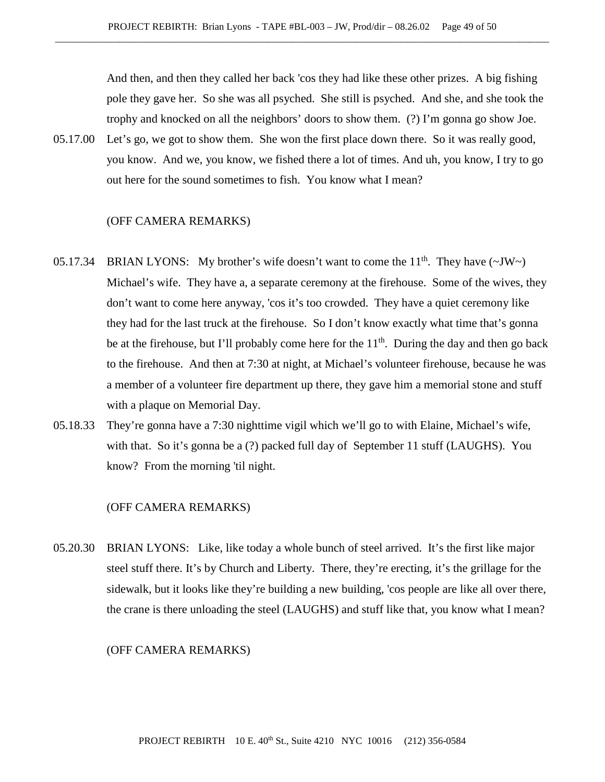And then, and then they called her back 'cos they had like these other prizes. A big fishing pole they gave her. So she was all psyched. She still is psyched. And she, and she took the trophy and knocked on all the neighbors' doors to show them. (?) I'm gonna go show Joe.

05.17.00 Let's go, we got to show them. She won the first place down there. So it was really good, you know. And we, you know, we fished there a lot of times. And uh, you know, I try to go out here for the sound sometimes to fish. You know what I mean?

#### (OFF CAMERA REMARKS)

- 05.17.34 BRIAN LYONS: My brother's wife doesn't want to come the 11<sup>th</sup>. They have  $(\sim JW)$ Michael's wife. They have a, a separate ceremony at the firehouse. Some of the wives, they don't want to come here anyway, 'cos it's too crowded. They have a quiet ceremony like they had for the last truck at the firehouse. So I don't know exactly what time that's gonna be at the firehouse, but I'll probably come here for the  $11<sup>th</sup>$ . During the day and then go back to the firehouse. And then at 7:30 at night, at Michael's volunteer firehouse, because he was a member of a volunteer fire department up there, they gave him a memorial stone and stuff with a plaque on Memorial Day.
- 05.18.33 They're gonna have a 7:30 nighttime vigil which we'll go to with Elaine, Michael's wife, with that. So it's gonna be a (?) packed full day of September 11 stuff (LAUGHS). You know? From the morning 'til night.

## (OFF CAMERA REMARKS)

05.20.30 BRIAN LYONS: Like, like today a whole bunch of steel arrived. It's the first like major steel stuff there. It's by Church and Liberty. There, they're erecting, it's the grillage for the sidewalk, but it looks like they're building a new building, 'cos people are like all over there, the crane is there unloading the steel (LAUGHS) and stuff like that, you know what I mean?